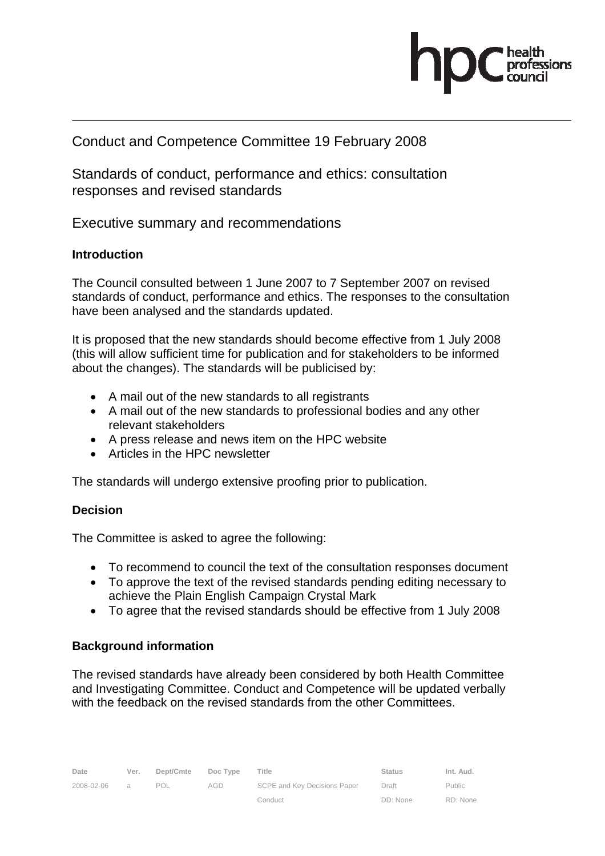

# Conduct and Competence Committee 19 February 2008

Standards of conduct, performance and ethics: consultation responses and revised standards

Executive summary and recommendations

#### **Introduction**

The Council consulted between 1 June 2007 to 7 September 2007 on revised standards of conduct, performance and ethics. The responses to the consultation have been analysed and the standards updated.

It is proposed that the new standards should become effective from 1 July 2008 (this will allow sufficient time for publication and for stakeholders to be informed about the changes). The standards will be publicised by:

- A mail out of the new standards to all registrants
- A mail out of the new standards to professional bodies and any other relevant stakeholders
- A press release and news item on the HPC website
- Articles in the HPC newsletter

The standards will undergo extensive proofing prior to publication.

## **Decision**

The Committee is asked to agree the following:

- To recommend to council the text of the consultation responses document
- To approve the text of the revised standards pending editing necessary to achieve the Plain English Campaign Crystal Mark
- To agree that the revised standards should be effective from 1 July 2008

## **Background information**

The revised standards have already been considered by both Health Committee and Investigating Committee. Conduct and Competence will be updated verbally with the feedback on the revised standards from the other Committees.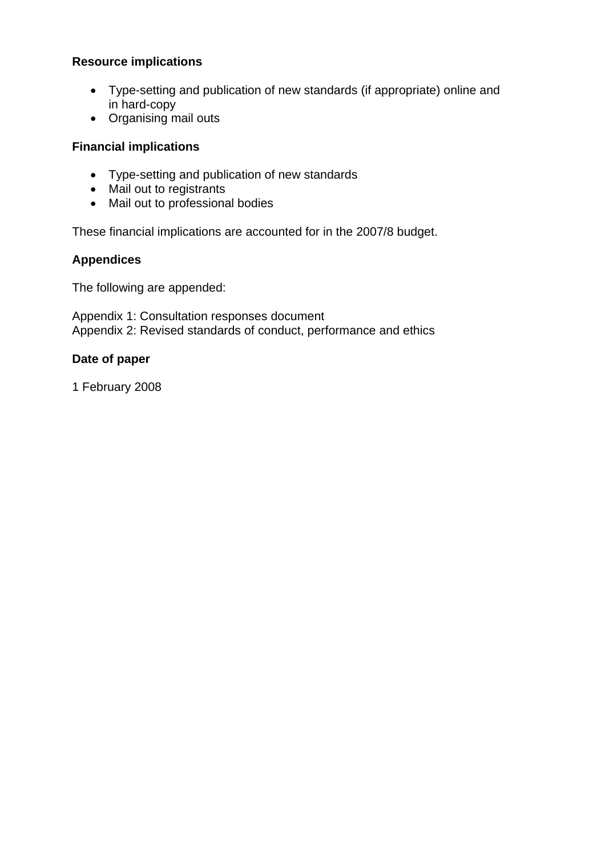#### **Resource implications**

- Type-setting and publication of new standards (if appropriate) online and in hard-copy
- Organising mail outs

#### **Financial implications**

- Type-setting and publication of new standards
- Mail out to registrants
- Mail out to professional bodies

These financial implications are accounted for in the 2007/8 budget.

## **Appendices**

The following are appended:

Appendix 1: Consultation responses document Appendix 2: Revised standards of conduct, performance and ethics

#### **Date of paper**

1 February 2008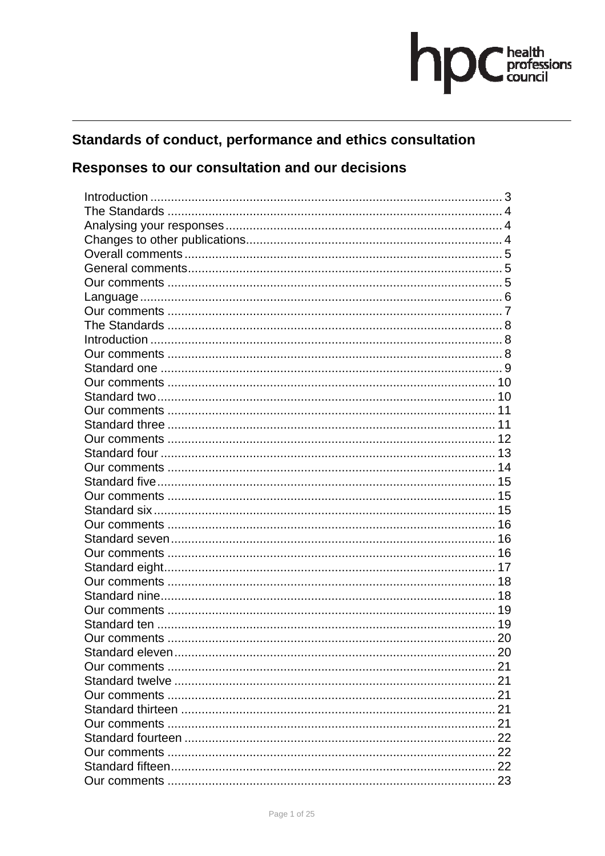# hpC health<br>council

# Standards of conduct, performance and ethics consultation

# Responses to our consultation and our decisions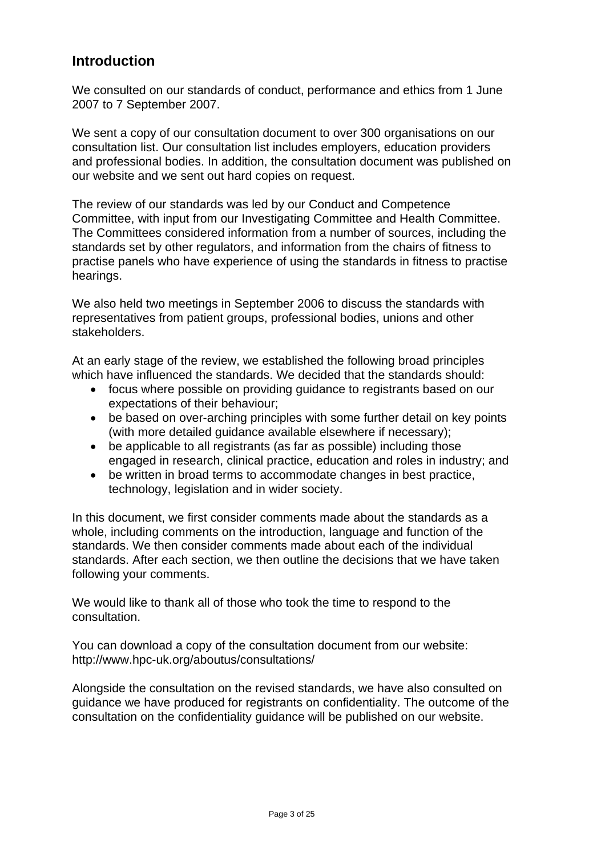# **Introduction**

We consulted on our standards of conduct, performance and ethics from 1 June 2007 to 7 September 2007.

We sent a copy of our consultation document to over 300 organisations on our consultation list. Our consultation list includes employers, education providers and professional bodies. In addition, the consultation document was published on our website and we sent out hard copies on request.

The review of our standards was led by our Conduct and Competence Committee, with input from our Investigating Committee and Health Committee. The Committees considered information from a number of sources, including the standards set by other regulators, and information from the chairs of fitness to practise panels who have experience of using the standards in fitness to practise hearings.

We also held two meetings in September 2006 to discuss the standards with representatives from patient groups, professional bodies, unions and other stakeholders.

At an early stage of the review, we established the following broad principles which have influenced the standards. We decided that the standards should:

- focus where possible on providing guidance to registrants based on our expectations of their behaviour;
- be based on over-arching principles with some further detail on key points (with more detailed guidance available elsewhere if necessary);
- be applicable to all registrants (as far as possible) including those engaged in research, clinical practice, education and roles in industry; and
- be written in broad terms to accommodate changes in best practice, technology, legislation and in wider society.

In this document, we first consider comments made about the standards as a whole, including comments on the introduction, language and function of the standards. We then consider comments made about each of the individual standards. After each section, we then outline the decisions that we have taken following your comments.

We would like to thank all of those who took the time to respond to the consultation.

You can download a copy of the consultation document from our website: http://www.hpc-uk.org/aboutus/consultations/

Alongside the consultation on the revised standards, we have also consulted on guidance we have produced for registrants on confidentiality. The outcome of the consultation on the confidentiality guidance will be published on our website.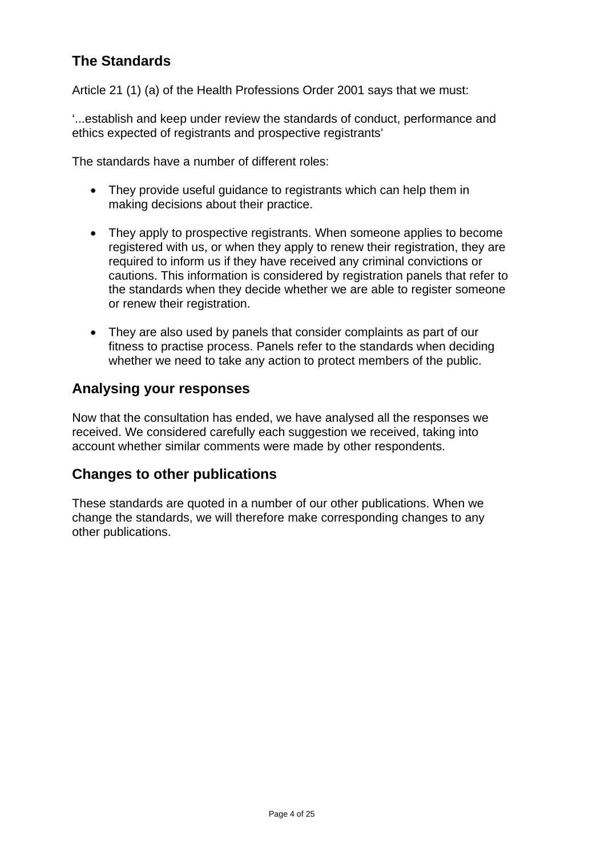# **The Standards**

Article 21 (1) (a) of the Health Professions Order 2001 says that we must:

'...establish and keep under review the standards of conduct, performance and ethics expected of registrants and prospective registrants'

The standards have a number of different roles:

- They provide useful guidance to registrants which can help them in making decisions about their practice.
- They apply to prospective registrants. When someone applies to become registered with us, or when they apply to renew their registration, they are required to inform us if they have received any criminal convictions or cautions. This information is considered by registration panels that refer to the standards when they decide whether we are able to register someone or renew their registration.
- They are also used by panels that consider complaints as part of our fitness to practise process. Panels refer to the standards when deciding whether we need to take any action to protect members of the public.

# **Analysing your responses**

Now that the consultation has ended, we have analysed all the responses we received. We considered carefully each suggestion we received, taking into account whether similar comments were made by other respondents.

# **Changes to other publications**

These standards are quoted in a number of our other publications. When we change the standards, we will therefore make corresponding changes to any other publications.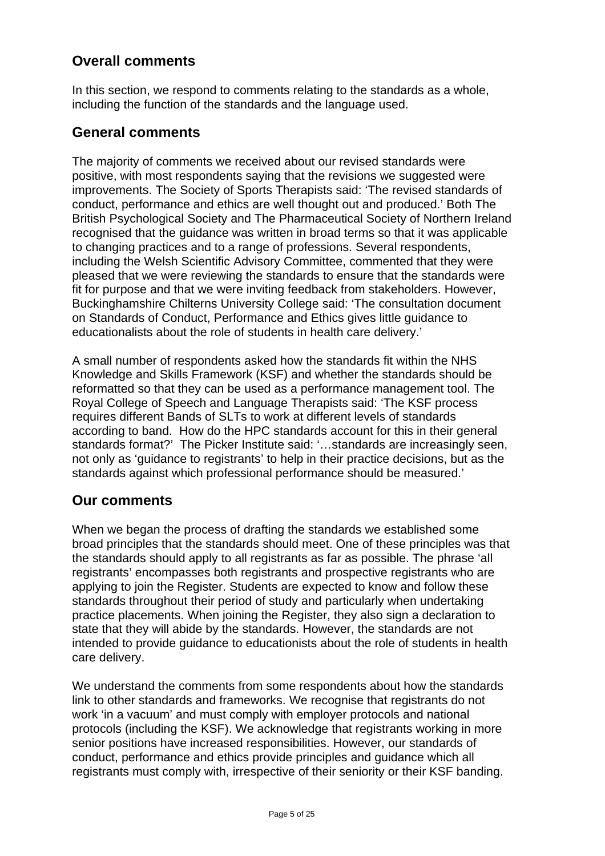# **Overall comments**

In this section, we respond to comments relating to the standards as a whole, including the function of the standards and the language used.

# **General comments**

The majority of comments we received about our revised standards were positive, with most respondents saying that the revisions we suggested were improvements. The Society of Sports Therapists said: 'The revised standards of conduct, performance and ethics are well thought out and produced.' Both The British Psychological Society and The Pharmaceutical Society of Northern Ireland recognised that the guidance was written in broad terms so that it was applicable to changing practices and to a range of professions. Several respondents, including the Welsh Scientific Advisory Committee, commented that they were pleased that we were reviewing the standards to ensure that the standards were fit for purpose and that we were inviting feedback from stakeholders. However, Buckinghamshire Chilterns University College said: 'The consultation document on Standards of Conduct, Performance and Ethics gives little guidance to educationalists about the role of students in health care delivery.'

A small number of respondents asked how the standards fit within the NHS Knowledge and Skills Framework (KSF) and whether the standards should be reformatted so that they can be used as a performance management tool. The Royal College of Speech and Language Therapists said: 'The KSF process requires different Bands of SLTs to work at different levels of standards according to band. How do the HPC standards account for this in their general standards format?' The Picker Institute said: '…standards are increasingly seen, not only as 'guidance to registrants' to help in their practice decisions, but as the standards against which professional performance should be measured.'

# **Our comments**

When we began the process of drafting the standards we established some broad principles that the standards should meet. One of these principles was that the standards should apply to all registrants as far as possible. The phrase 'all registrants' encompasses both registrants and prospective registrants who are applying to join the Register. Students are expected to know and follow these standards throughout their period of study and particularly when undertaking practice placements. When joining the Register, they also sign a declaration to state that they will abide by the standards. However, the standards are not intended to provide guidance to educationists about the role of students in health care delivery.

We understand the comments from some respondents about how the standards link to other standards and frameworks. We recognise that registrants do not work 'in a vacuum' and must comply with employer protocols and national protocols (including the KSF). We acknowledge that registrants working in more senior positions have increased responsibilities. However, our standards of conduct, performance and ethics provide principles and guidance which all registrants must comply with, irrespective of their seniority or their KSF banding.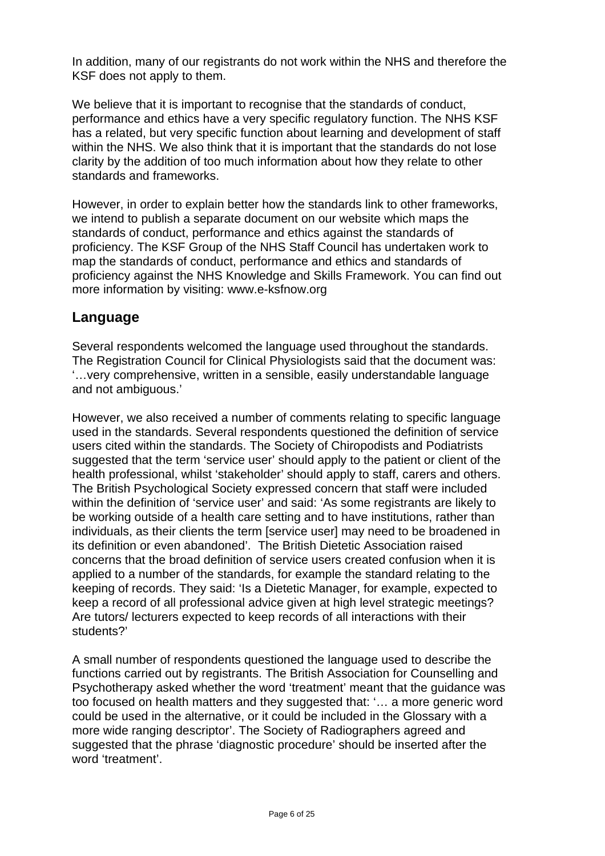In addition, many of our registrants do not work within the NHS and therefore the KSF does not apply to them.

We believe that it is important to recognise that the standards of conduct, performance and ethics have a very specific regulatory function. The NHS KSF has a related, but very specific function about learning and development of staff within the NHS. We also think that it is important that the standards do not lose clarity by the addition of too much information about how they relate to other standards and frameworks.

However, in order to explain better how the standards link to other frameworks, we intend to publish a separate document on our website which maps the standards of conduct, performance and ethics against the standards of proficiency. The KSF Group of the NHS Staff Council has undertaken work to map the standards of conduct, performance and ethics and standards of proficiency against the NHS Knowledge and Skills Framework. You can find out more information by visiting: www.e-ksfnow.org

# **Language**

Several respondents welcomed the language used throughout the standards. The Registration Council for Clinical Physiologists said that the document was: '…very comprehensive, written in a sensible, easily understandable language and not ambiguous.'

However, we also received a number of comments relating to specific language used in the standards. Several respondents questioned the definition of service users cited within the standards. The Society of Chiropodists and Podiatrists suggested that the term 'service user' should apply to the patient or client of the health professional, whilst 'stakeholder' should apply to staff, carers and others. The British Psychological Society expressed concern that staff were included within the definition of 'service user' and said: 'As some registrants are likely to be working outside of a health care setting and to have institutions, rather than individuals, as their clients the term [service user] may need to be broadened in its definition or even abandoned'. The British Dietetic Association raised concerns that the broad definition of service users created confusion when it is applied to a number of the standards, for example the standard relating to the keeping of records. They said: 'Is a Dietetic Manager, for example, expected to keep a record of all professional advice given at high level strategic meetings? Are tutors/ lecturers expected to keep records of all interactions with their students?'

A small number of respondents questioned the language used to describe the functions carried out by registrants. The British Association for Counselling and Psychotherapy asked whether the word 'treatment' meant that the guidance was too focused on health matters and they suggested that: '… a more generic word could be used in the alternative, or it could be included in the Glossary with a more wide ranging descriptor'. The Society of Radiographers agreed and suggested that the phrase 'diagnostic procedure' should be inserted after the word 'treatment'.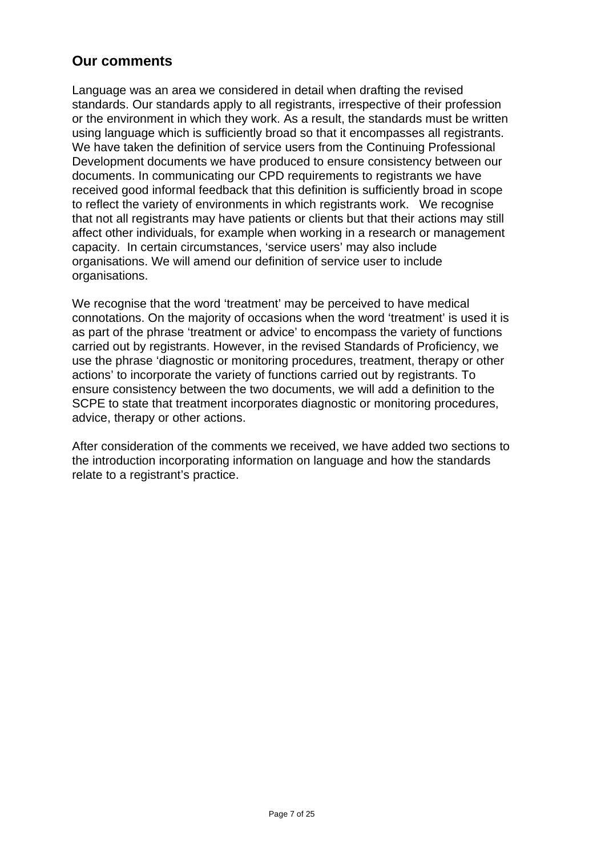# **Our comments**

Language was an area we considered in detail when drafting the revised standards. Our standards apply to all registrants, irrespective of their profession or the environment in which they work. As a result, the standards must be written using language which is sufficiently broad so that it encompasses all registrants. We have taken the definition of service users from the Continuing Professional Development documents we have produced to ensure consistency between our documents. In communicating our CPD requirements to registrants we have received good informal feedback that this definition is sufficiently broad in scope to reflect the variety of environments in which registrants work. We recognise that not all registrants may have patients or clients but that their actions may still affect other individuals, for example when working in a research or management capacity. In certain circumstances, 'service users' may also include organisations. We will amend our definition of service user to include organisations.

We recognise that the word 'treatment' may be perceived to have medical connotations. On the majority of occasions when the word 'treatment' is used it is as part of the phrase 'treatment or advice' to encompass the variety of functions carried out by registrants. However, in the revised Standards of Proficiency, we use the phrase 'diagnostic or monitoring procedures, treatment, therapy or other actions' to incorporate the variety of functions carried out by registrants. To ensure consistency between the two documents, we will add a definition to the SCPE to state that treatment incorporates diagnostic or monitoring procedures, advice, therapy or other actions.

After consideration of the comments we received, we have added two sections to the introduction incorporating information on language and how the standards relate to a registrant's practice.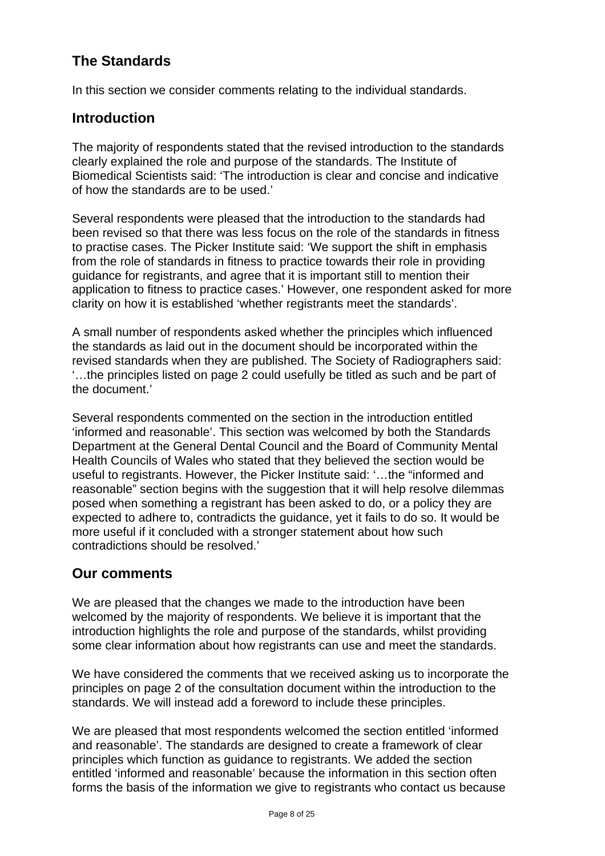# **The Standards**

In this section we consider comments relating to the individual standards.

# **Introduction**

The majority of respondents stated that the revised introduction to the standards clearly explained the role and purpose of the standards. The Institute of Biomedical Scientists said: 'The introduction is clear and concise and indicative of how the standards are to be used.'

Several respondents were pleased that the introduction to the standards had been revised so that there was less focus on the role of the standards in fitness to practise cases. The Picker Institute said: 'We support the shift in emphasis from the role of standards in fitness to practice towards their role in providing guidance for registrants, and agree that it is important still to mention their application to fitness to practice cases.' However, one respondent asked for more clarity on how it is established 'whether registrants meet the standards'.

A small number of respondents asked whether the principles which influenced the standards as laid out in the document should be incorporated within the revised standards when they are published. The Society of Radiographers said: '…the principles listed on page 2 could usefully be titled as such and be part of the document.'

Several respondents commented on the section in the introduction entitled 'informed and reasonable'. This section was welcomed by both the Standards Department at the General Dental Council and the Board of Community Mental Health Councils of Wales who stated that they believed the section would be useful to registrants. However, the Picker Institute said: '…the "informed and reasonable" section begins with the suggestion that it will help resolve dilemmas posed when something a registrant has been asked to do, or a policy they are expected to adhere to, contradicts the guidance, yet it fails to do so. It would be more useful if it concluded with a stronger statement about how such contradictions should be resolved.'

# **Our comments**

We are pleased that the changes we made to the introduction have been welcomed by the majority of respondents. We believe it is important that the introduction highlights the role and purpose of the standards, whilst providing some clear information about how registrants can use and meet the standards.

We have considered the comments that we received asking us to incorporate the principles on page 2 of the consultation document within the introduction to the standards. We will instead add a foreword to include these principles.

We are pleased that most respondents welcomed the section entitled 'informed and reasonable'. The standards are designed to create a framework of clear principles which function as guidance to registrants. We added the section entitled 'informed and reasonable' because the information in this section often forms the basis of the information we give to registrants who contact us because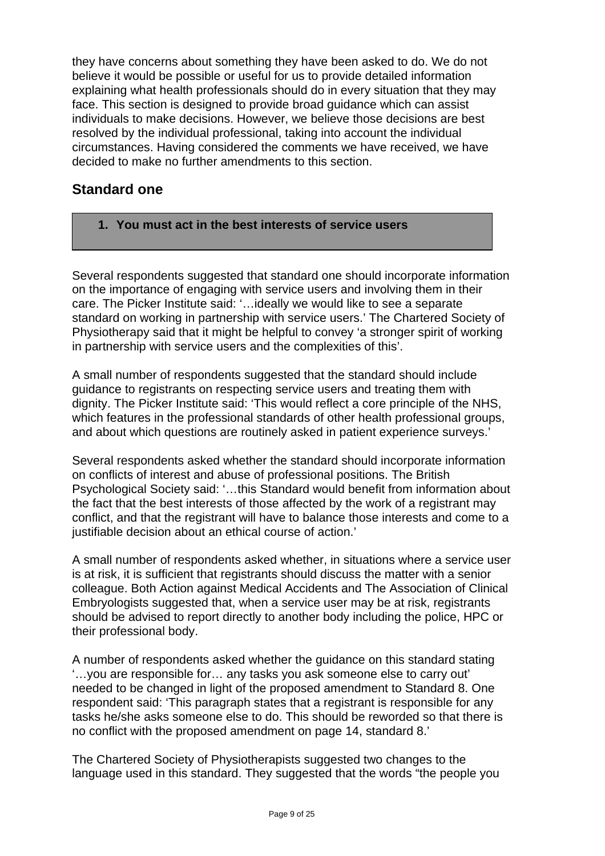they have concerns about something they have been asked to do. We do not believe it would be possible or useful for us to provide detailed information explaining what health professionals should do in every situation that they may face. This section is designed to provide broad guidance which can assist individuals to make decisions. However, we believe those decisions are best resolved by the individual professional, taking into account the individual circumstances. Having considered the comments we have received, we have decided to make no further amendments to this section.

# **Standard one**

**1. You must act in the best interests of service users** 

Several respondents suggested that standard one should incorporate information on the importance of engaging with service users and involving them in their care. The Picker Institute said: '…ideally we would like to see a separate standard on working in partnership with service users.' The Chartered Society of Physiotherapy said that it might be helpful to convey 'a stronger spirit of working in partnership with service users and the complexities of this'.

A small number of respondents suggested that the standard should include guidance to registrants on respecting service users and treating them with dignity. The Picker Institute said: 'This would reflect a core principle of the NHS, which features in the professional standards of other health professional groups, and about which questions are routinely asked in patient experience surveys.'

Several respondents asked whether the standard should incorporate information on conflicts of interest and abuse of professional positions. The British Psychological Society said: '…this Standard would benefit from information about the fact that the best interests of those affected by the work of a registrant may conflict, and that the registrant will have to balance those interests and come to a justifiable decision about an ethical course of action.'

A small number of respondents asked whether, in situations where a service user is at risk, it is sufficient that registrants should discuss the matter with a senior colleague. Both Action against Medical Accidents and The Association of Clinical Embryologists suggested that, when a service user may be at risk, registrants should be advised to report directly to another body including the police, HPC or their professional body.

A number of respondents asked whether the guidance on this standard stating '…you are responsible for… any tasks you ask someone else to carry out' needed to be changed in light of the proposed amendment to Standard 8. One respondent said: 'This paragraph states that a registrant is responsible for any tasks he/she asks someone else to do. This should be reworded so that there is no conflict with the proposed amendment on page 14, standard 8.'

The Chartered Society of Physiotherapists suggested two changes to the language used in this standard. They suggested that the words "the people you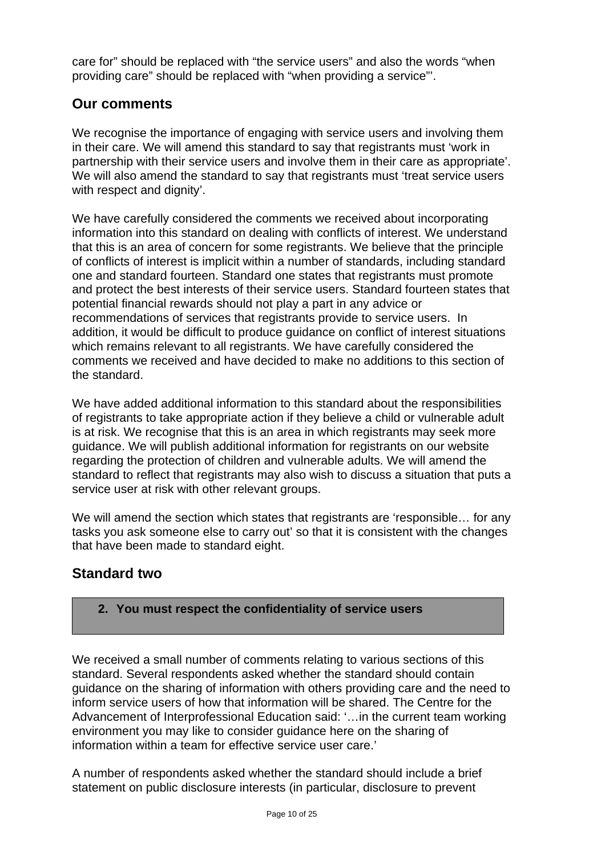care for" should be replaced with "the service users" and also the words "when providing care" should be replaced with "when providing a service"'.

# **Our comments**

We recognise the importance of engaging with service users and involving them in their care. We will amend this standard to say that registrants must 'work in partnership with their service users and involve them in their care as appropriate'. We will also amend the standard to say that registrants must 'treat service users with respect and dignity'.

We have carefully considered the comments we received about incorporating information into this standard on dealing with conflicts of interest. We understand that this is an area of concern for some registrants. We believe that the principle of conflicts of interest is implicit within a number of standards, including standard one and standard fourteen. Standard one states that registrants must promote and protect the best interests of their service users. Standard fourteen states that potential financial rewards should not play a part in any advice or recommendations of services that registrants provide to service users. In addition, it would be difficult to produce guidance on conflict of interest situations which remains relevant to all registrants. We have carefully considered the comments we received and have decided to make no additions to this section of the standard.

We have added additional information to this standard about the responsibilities of registrants to take appropriate action if they believe a child or vulnerable adult is at risk. We recognise that this is an area in which registrants may seek more guidance. We will publish additional information for registrants on our website regarding the protection of children and vulnerable adults. We will amend the standard to reflect that registrants may also wish to discuss a situation that puts a service user at risk with other relevant groups.

We will amend the section which states that registrants are 'responsible... for any tasks you ask someone else to carry out' so that it is consistent with the changes that have been made to standard eight.

# **Standard two**

## **2. You must respect the confidentiality of service users**

We received a small number of comments relating to various sections of this standard. Several respondents asked whether the standard should contain guidance on the sharing of information with others providing care and the need to inform service users of how that information will be shared. The Centre for the Advancement of Interprofessional Education said: '…in the current team working environment you may like to consider guidance here on the sharing of information within a team for effective service user care.'

A number of respondents asked whether the standard should include a brief statement on public disclosure interests (in particular, disclosure to prevent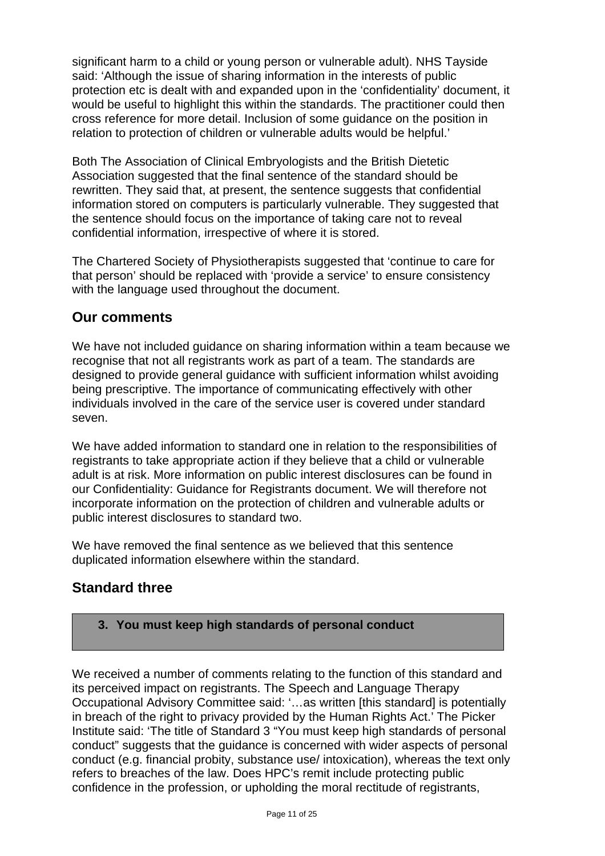significant harm to a child or young person or vulnerable adult). NHS Tayside said: 'Although the issue of sharing information in the interests of public protection etc is dealt with and expanded upon in the 'confidentiality' document, it would be useful to highlight this within the standards. The practitioner could then cross reference for more detail. Inclusion of some guidance on the position in relation to protection of children or vulnerable adults would be helpful.'

Both The Association of Clinical Embryologists and the British Dietetic Association suggested that the final sentence of the standard should be rewritten. They said that, at present, the sentence suggests that confidential information stored on computers is particularly vulnerable. They suggested that the sentence should focus on the importance of taking care not to reveal confidential information, irrespective of where it is stored.

The Chartered Society of Physiotherapists suggested that 'continue to care for that person' should be replaced with 'provide a service' to ensure consistency with the language used throughout the document.

# **Our comments**

We have not included guidance on sharing information within a team because we recognise that not all registrants work as part of a team. The standards are designed to provide general guidance with sufficient information whilst avoiding being prescriptive. The importance of communicating effectively with other individuals involved in the care of the service user is covered under standard seven.

We have added information to standard one in relation to the responsibilities of registrants to take appropriate action if they believe that a child or vulnerable adult is at risk. More information on public interest disclosures can be found in our Confidentiality: Guidance for Registrants document. We will therefore not incorporate information on the protection of children and vulnerable adults or public interest disclosures to standard two.

We have removed the final sentence as we believed that this sentence duplicated information elsewhere within the standard.

# **Standard three**

#### **3. You must keep high standards of personal conduct**

We received a number of comments relating to the function of this standard and its perceived impact on registrants. The Speech and Language Therapy Occupational Advisory Committee said: '…as written [this standard] is potentially in breach of the right to privacy provided by the Human Rights Act.' The Picker Institute said: 'The title of Standard 3 "You must keep high standards of personal conduct" suggests that the guidance is concerned with wider aspects of personal conduct (e.g. financial probity, substance use/ intoxication), whereas the text only refers to breaches of the law. Does HPC's remit include protecting public confidence in the profession, or upholding the moral rectitude of registrants,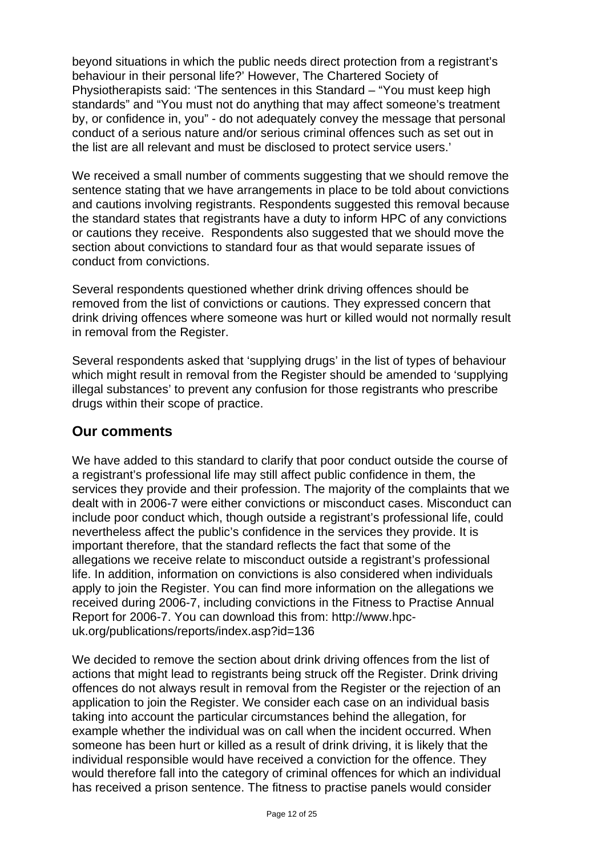beyond situations in which the public needs direct protection from a registrant's behaviour in their personal life?' However, The Chartered Society of Physiotherapists said: 'The sentences in this Standard – "You must keep high standards" and "You must not do anything that may affect someone's treatment by, or confidence in, you" - do not adequately convey the message that personal conduct of a serious nature and/or serious criminal offences such as set out in the list are all relevant and must be disclosed to protect service users.'

We received a small number of comments suggesting that we should remove the sentence stating that we have arrangements in place to be told about convictions and cautions involving registrants. Respondents suggested this removal because the standard states that registrants have a duty to inform HPC of any convictions or cautions they receive. Respondents also suggested that we should move the section about convictions to standard four as that would separate issues of conduct from convictions.

Several respondents questioned whether drink driving offences should be removed from the list of convictions or cautions. They expressed concern that drink driving offences where someone was hurt or killed would not normally result in removal from the Register.

Several respondents asked that 'supplying drugs' in the list of types of behaviour which might result in removal from the Register should be amended to 'supplying illegal substances' to prevent any confusion for those registrants who prescribe drugs within their scope of practice.

## **Our comments**

We have added to this standard to clarify that poor conduct outside the course of a registrant's professional life may still affect public confidence in them, the services they provide and their profession. The majority of the complaints that we dealt with in 2006-7 were either convictions or misconduct cases. Misconduct can include poor conduct which, though outside a registrant's professional life, could nevertheless affect the public's confidence in the services they provide. It is important therefore, that the standard reflects the fact that some of the allegations we receive relate to misconduct outside a registrant's professional life. In addition, information on convictions is also considered when individuals apply to join the Register. You can find more information on the allegations we received during 2006-7, including convictions in the Fitness to Practise Annual Report for 2006-7. You can download this from: http://www.hpcuk.org/publications/reports/index.asp?id=136

We decided to remove the section about drink driving offences from the list of actions that might lead to registrants being struck off the Register. Drink driving offences do not always result in removal from the Register or the rejection of an application to join the Register. We consider each case on an individual basis taking into account the particular circumstances behind the allegation, for example whether the individual was on call when the incident occurred. When someone has been hurt or killed as a result of drink driving, it is likely that the individual responsible would have received a conviction for the offence. They would therefore fall into the category of criminal offences for which an individual has received a prison sentence. The fitness to practise panels would consider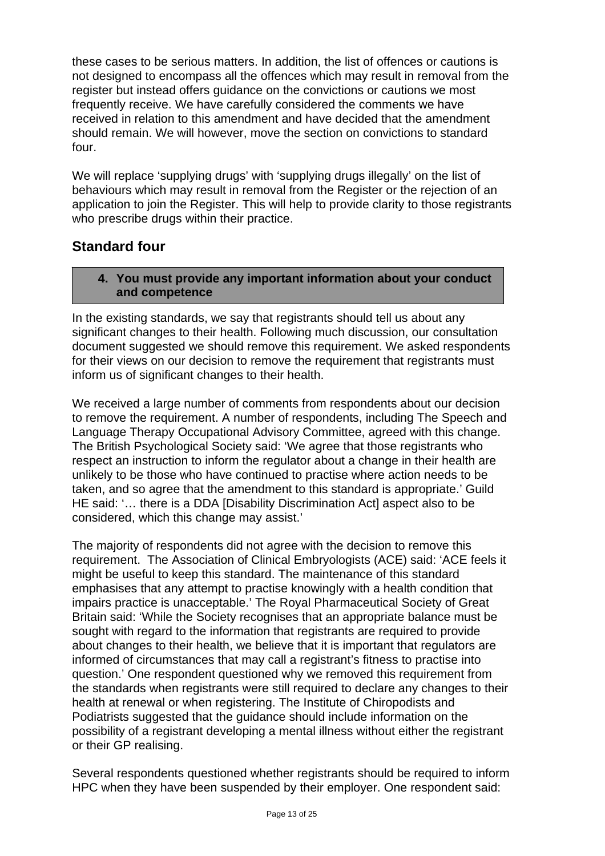these cases to be serious matters. In addition, the list of offences or cautions is not designed to encompass all the offences which may result in removal from the register but instead offers guidance on the convictions or cautions we most frequently receive. We have carefully considered the comments we have received in relation to this amendment and have decided that the amendment should remain. We will however, move the section on convictions to standard four.

We will replace 'supplying drugs' with 'supplying drugs illegally' on the list of behaviours which may result in removal from the Register or the rejection of an application to join the Register. This will help to provide clarity to those registrants who prescribe drugs within their practice.

# **Standard four**

#### **4. You must provide any important information about your conduct and competence**

In the existing standards, we say that registrants should tell us about any significant changes to their health. Following much discussion, our consultation document suggested we should remove this requirement. We asked respondents for their views on our decision to remove the requirement that registrants must inform us of significant changes to their health.

We received a large number of comments from respondents about our decision to remove the requirement. A number of respondents, including The Speech and Language Therapy Occupational Advisory Committee, agreed with this change. The British Psychological Society said: 'We agree that those registrants who respect an instruction to inform the regulator about a change in their health are unlikely to be those who have continued to practise where action needs to be taken, and so agree that the amendment to this standard is appropriate.' Guild HE said: '... there is a DDA [Disability Discrimination Act] aspect also to be considered, which this change may assist.'

The majority of respondents did not agree with the decision to remove this requirement. The Association of Clinical Embryologists (ACE) said: 'ACE feels it might be useful to keep this standard. The maintenance of this standard emphasises that any attempt to practise knowingly with a health condition that impairs practice is unacceptable.' The Royal Pharmaceutical Society of Great Britain said: 'While the Society recognises that an appropriate balance must be sought with regard to the information that registrants are required to provide about changes to their health, we believe that it is important that regulators are informed of circumstances that may call a registrant's fitness to practise into question.' One respondent questioned why we removed this requirement from the standards when registrants were still required to declare any changes to their health at renewal or when registering. The Institute of Chiropodists and Podiatrists suggested that the guidance should include information on the possibility of a registrant developing a mental illness without either the registrant or their GP realising.

Several respondents questioned whether registrants should be required to inform HPC when they have been suspended by their employer. One respondent said: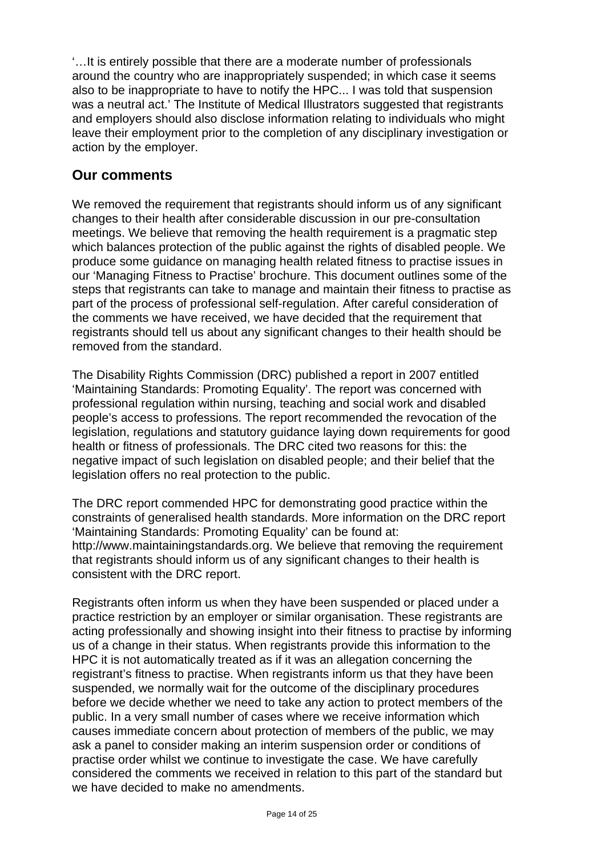'…It is entirely possible that there are a moderate number of professionals around the country who are inappropriately suspended; in which case it seems also to be inappropriate to have to notify the HPC... I was told that suspension was a neutral act.' The Institute of Medical Illustrators suggested that registrants and employers should also disclose information relating to individuals who might leave their employment prior to the completion of any disciplinary investigation or action by the employer.

# **Our comments**

We removed the requirement that registrants should inform us of any significant changes to their health after considerable discussion in our pre-consultation meetings. We believe that removing the health requirement is a pragmatic step which balances protection of the public against the rights of disabled people. We produce some guidance on managing health related fitness to practise issues in our 'Managing Fitness to Practise' brochure. This document outlines some of the steps that registrants can take to manage and maintain their fitness to practise as part of the process of professional self-regulation. After careful consideration of the comments we have received, we have decided that the requirement that registrants should tell us about any significant changes to their health should be removed from the standard.

The Disability Rights Commission (DRC) published a report in 2007 entitled 'Maintaining Standards: Promoting Equality'. The report was concerned with professional regulation within nursing, teaching and social work and disabled people's access to professions. The report recommended the revocation of the legislation, regulations and statutory guidance laying down requirements for good health or fitness of professionals. The DRC cited two reasons for this: the negative impact of such legislation on disabled people; and their belief that the legislation offers no real protection to the public.

The DRC report commended HPC for demonstrating good practice within the constraints of generalised health standards. More information on the DRC report 'Maintaining Standards: Promoting Equality' can be found at: http://www.maintainingstandards.org. We believe that removing the requirement that registrants should inform us of any significant changes to their health is consistent with the DRC report.

Registrants often inform us when they have been suspended or placed under a practice restriction by an employer or similar organisation. These registrants are acting professionally and showing insight into their fitness to practise by informing us of a change in their status. When registrants provide this information to the HPC it is not automatically treated as if it was an allegation concerning the registrant's fitness to practise. When registrants inform us that they have been suspended, we normally wait for the outcome of the disciplinary procedures before we decide whether we need to take any action to protect members of the public. In a very small number of cases where we receive information which causes immediate concern about protection of members of the public, we may ask a panel to consider making an interim suspension order or conditions of practise order whilst we continue to investigate the case. We have carefully considered the comments we received in relation to this part of the standard but we have decided to make no amendments.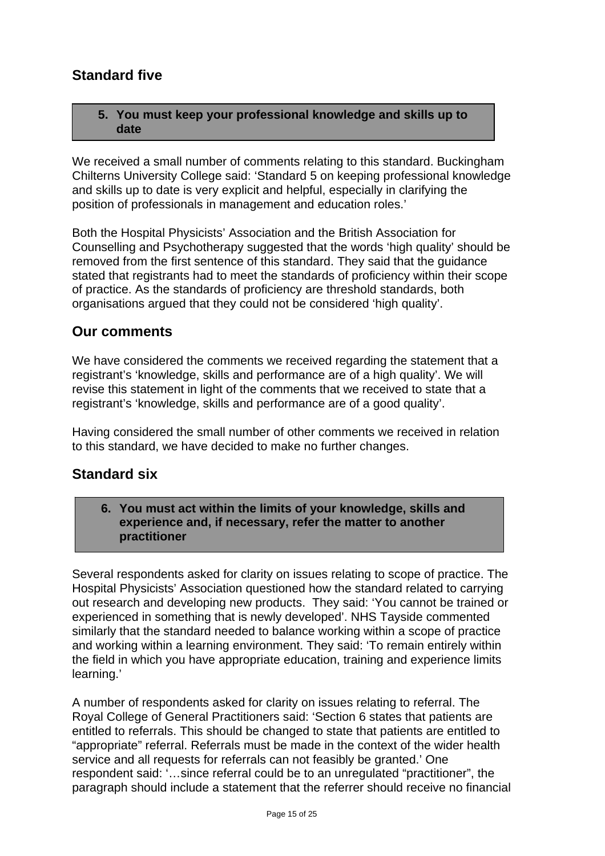# **Standard five**

#### **5. You must keep your professional knowledge and skills up to date**

We received a small number of comments relating to this standard. Buckingham Chilterns University College said: 'Standard 5 on keeping professional knowledge and skills up to date is very explicit and helpful, especially in clarifying the position of professionals in management and education roles.'

Both the Hospital Physicists' Association and the British Association for Counselling and Psychotherapy suggested that the words 'high quality' should be removed from the first sentence of this standard. They said that the guidance stated that registrants had to meet the standards of proficiency within their scope of practice. As the standards of proficiency are threshold standards, both organisations argued that they could not be considered 'high quality'.

## **Our comments**

We have considered the comments we received regarding the statement that a registrant's 'knowledge, skills and performance are of a high quality'. We will revise this statement in light of the comments that we received to state that a registrant's 'knowledge, skills and performance are of a good quality'.

Having considered the small number of other comments we received in relation to this standard, we have decided to make no further changes.

# **Standard six**

**6. You must act within the limits of your knowledge, skills and experience and, if necessary, refer the matter to another practitioner** 

Several respondents asked for clarity on issues relating to scope of practice. The Hospital Physicists' Association questioned how the standard related to carrying out research and developing new products. They said: 'You cannot be trained or experienced in something that is newly developed'. NHS Tayside commented similarly that the standard needed to balance working within a scope of practice and working within a learning environment. They said: 'To remain entirely within the field in which you have appropriate education, training and experience limits learning.'

A number of respondents asked for clarity on issues relating to referral. The Royal College of General Practitioners said: 'Section 6 states that patients are entitled to referrals. This should be changed to state that patients are entitled to "appropriate" referral. Referrals must be made in the context of the wider health service and all requests for referrals can not feasibly be granted.' One respondent said: '…since referral could be to an unregulated "practitioner", the paragraph should include a statement that the referrer should receive no financial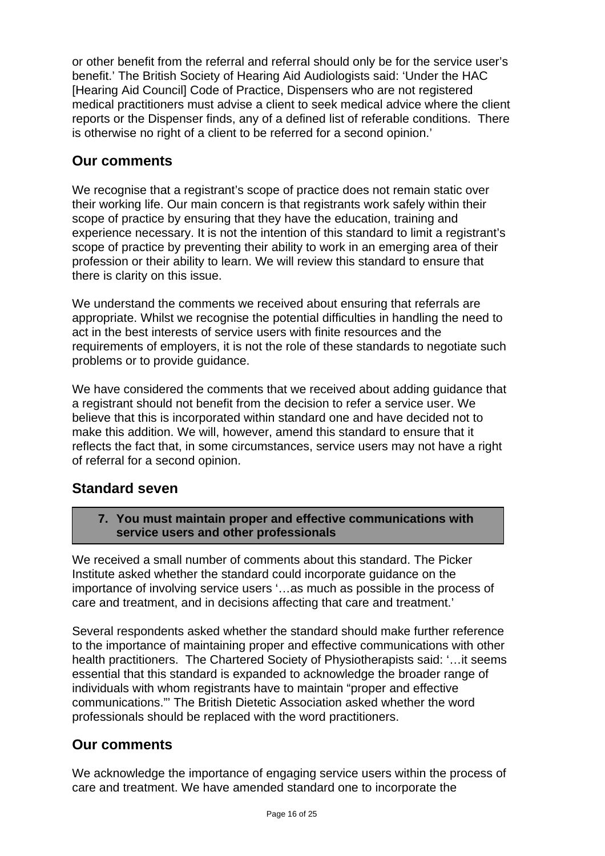or other benefit from the referral and referral should only be for the service user's benefit.' The British Society of Hearing Aid Audiologists said: 'Under the HAC [Hearing Aid Council] Code of Practice, Dispensers who are not registered medical practitioners must advise a client to seek medical advice where the client reports or the Dispenser finds, any of a defined list of referable conditions. There is otherwise no right of a client to be referred for a second opinion.'

# **Our comments**

We recognise that a registrant's scope of practice does not remain static over their working life. Our main concern is that registrants work safely within their scope of practice by ensuring that they have the education, training and experience necessary. It is not the intention of this standard to limit a registrant's scope of practice by preventing their ability to work in an emerging area of their profession or their ability to learn. We will review this standard to ensure that there is clarity on this issue.

We understand the comments we received about ensuring that referrals are appropriate. Whilst we recognise the potential difficulties in handling the need to act in the best interests of service users with finite resources and the requirements of employers, it is not the role of these standards to negotiate such problems or to provide guidance.

We have considered the comments that we received about adding guidance that a registrant should not benefit from the decision to refer a service user. We believe that this is incorporated within standard one and have decided not to make this addition. We will, however, amend this standard to ensure that it reflects the fact that, in some circumstances, service users may not have a right of referral for a second opinion.

# **Standard seven**

**7. You must maintain proper and effective communications with service users and other professionals** 

We received a small number of comments about this standard. The Picker Institute asked whether the standard could incorporate guidance on the importance of involving service users '…as much as possible in the process of care and treatment, and in decisions affecting that care and treatment.'

Several respondents asked whether the standard should make further reference to the importance of maintaining proper and effective communications with other health practitioners. The Chartered Society of Physiotherapists said: '…it seems essential that this standard is expanded to acknowledge the broader range of individuals with whom registrants have to maintain "proper and effective communications."' The British Dietetic Association asked whether the word professionals should be replaced with the word practitioners.

# **Our comments**

We acknowledge the importance of engaging service users within the process of care and treatment. We have amended standard one to incorporate the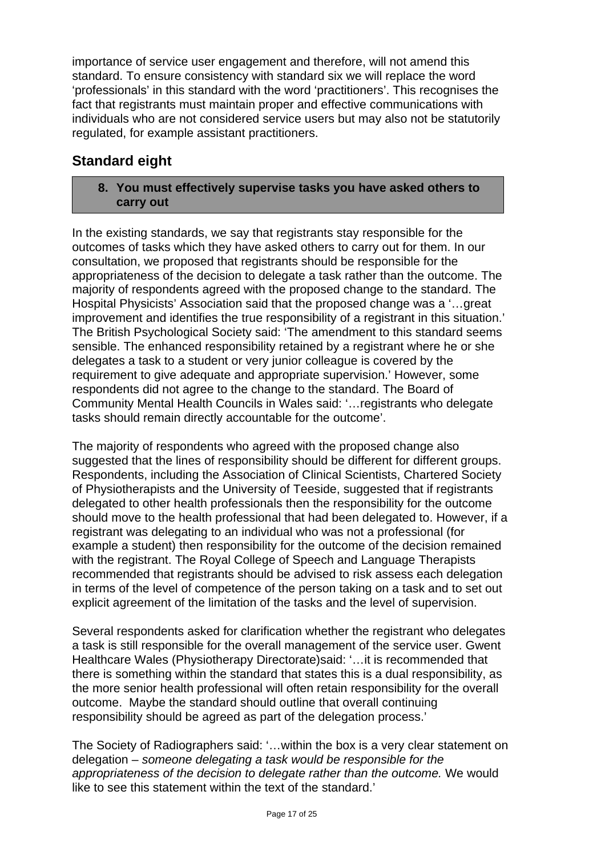importance of service user engagement and therefore, will not amend this standard. To ensure consistency with standard six we will replace the word 'professionals' in this standard with the word 'practitioners'. This recognises the fact that registrants must maintain proper and effective communications with individuals who are not considered service users but may also not be statutorily regulated, for example assistant practitioners.

# **Standard eight**

**8. You must effectively supervise tasks you have asked others to carry out** 

In the existing standards, we say that registrants stay responsible for the outcomes of tasks which they have asked others to carry out for them. In our consultation, we proposed that registrants should be responsible for the appropriateness of the decision to delegate a task rather than the outcome. The majority of respondents agreed with the proposed change to the standard. The Hospital Physicists' Association said that the proposed change was a '…great improvement and identifies the true responsibility of a registrant in this situation.' The British Psychological Society said: 'The amendment to this standard seems sensible. The enhanced responsibility retained by a registrant where he or she delegates a task to a student or very junior colleague is covered by the requirement to give adequate and appropriate supervision.' However, some respondents did not agree to the change to the standard. The Board of Community Mental Health Councils in Wales said: '…registrants who delegate tasks should remain directly accountable for the outcome'.

The majority of respondents who agreed with the proposed change also suggested that the lines of responsibility should be different for different groups. Respondents, including the Association of Clinical Scientists, Chartered Society of Physiotherapists and the University of Teeside, suggested that if registrants delegated to other health professionals then the responsibility for the outcome should move to the health professional that had been delegated to. However, if a registrant was delegating to an individual who was not a professional (for example a student) then responsibility for the outcome of the decision remained with the registrant. The Royal College of Speech and Language Therapists recommended that registrants should be advised to risk assess each delegation in terms of the level of competence of the person taking on a task and to set out explicit agreement of the limitation of the tasks and the level of supervision.

Several respondents asked for clarification whether the registrant who delegates a task is still responsible for the overall management of the service user. Gwent Healthcare Wales (Physiotherapy Directorate)said: '…it is recommended that there is something within the standard that states this is a dual responsibility, as the more senior health professional will often retain responsibility for the overall outcome. Maybe the standard should outline that overall continuing responsibility should be agreed as part of the delegation process.'

The Society of Radiographers said: '…within the box is a very clear statement on delegation – *someone delegating a task would be responsible for the appropriateness of the decision to delegate rather than the outcome.* We would like to see this statement within the text of the standard.'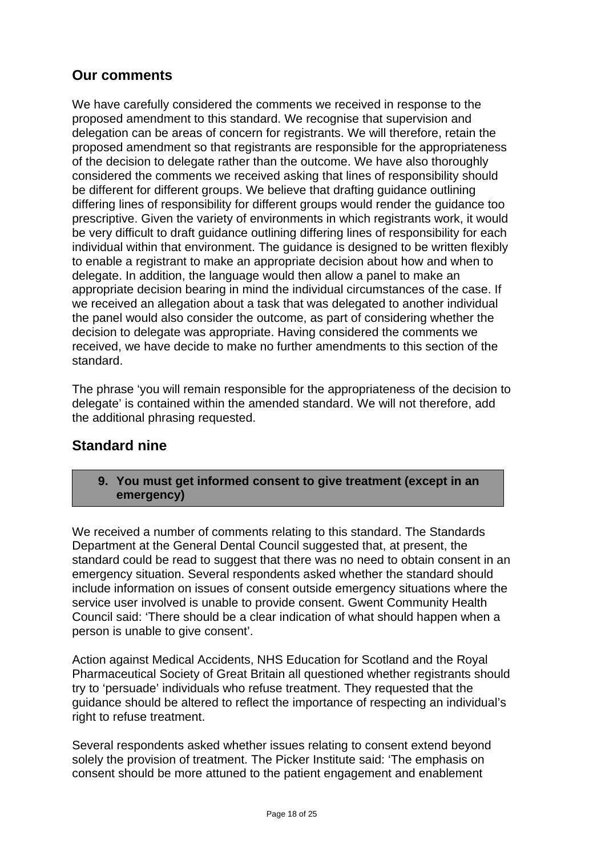# **Our comments**

We have carefully considered the comments we received in response to the proposed amendment to this standard. We recognise that supervision and delegation can be areas of concern for registrants. We will therefore, retain the proposed amendment so that registrants are responsible for the appropriateness of the decision to delegate rather than the outcome. We have also thoroughly considered the comments we received asking that lines of responsibility should be different for different groups. We believe that drafting guidance outlining differing lines of responsibility for different groups would render the guidance too prescriptive. Given the variety of environments in which registrants work, it would be very difficult to draft guidance outlining differing lines of responsibility for each individual within that environment. The guidance is designed to be written flexibly to enable a registrant to make an appropriate decision about how and when to delegate. In addition, the language would then allow a panel to make an appropriate decision bearing in mind the individual circumstances of the case. If we received an allegation about a task that was delegated to another individual the panel would also consider the outcome, as part of considering whether the decision to delegate was appropriate. Having considered the comments we received, we have decide to make no further amendments to this section of the standard.

The phrase 'you will remain responsible for the appropriateness of the decision to delegate' is contained within the amended standard. We will not therefore, add the additional phrasing requested.

# **Standard nine**

#### **9. You must get informed consent to give treatment (except in an emergency)**

We received a number of comments relating to this standard. The Standards Department at the General Dental Council suggested that, at present, the standard could be read to suggest that there was no need to obtain consent in an emergency situation. Several respondents asked whether the standard should include information on issues of consent outside emergency situations where the service user involved is unable to provide consent. Gwent Community Health Council said: 'There should be a clear indication of what should happen when a person is unable to give consent'.

Action against Medical Accidents, NHS Education for Scotland and the Royal Pharmaceutical Society of Great Britain all questioned whether registrants should try to 'persuade' individuals who refuse treatment. They requested that the guidance should be altered to reflect the importance of respecting an individual's right to refuse treatment.

Several respondents asked whether issues relating to consent extend beyond solely the provision of treatment. The Picker Institute said: 'The emphasis on consent should be more attuned to the patient engagement and enablement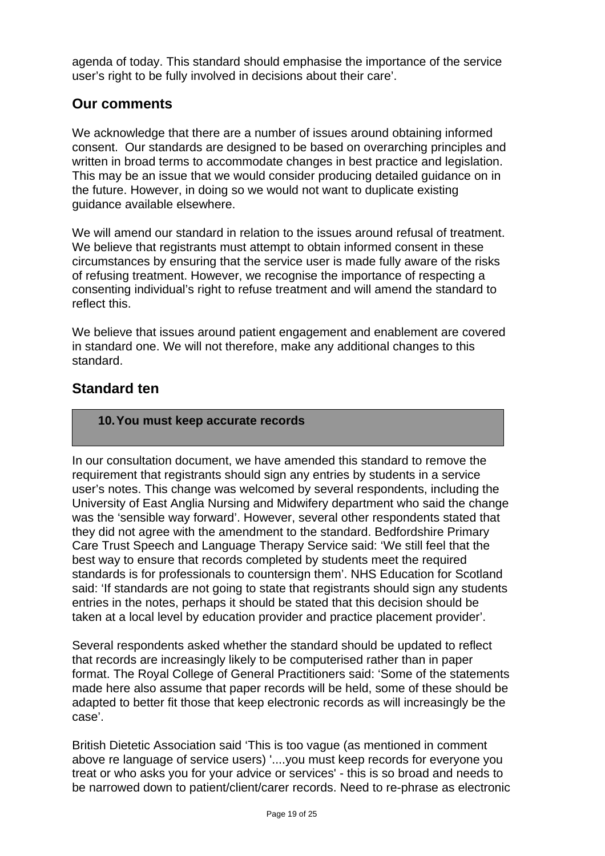agenda of today. This standard should emphasise the importance of the service user's right to be fully involved in decisions about their care'.

# **Our comments**

We acknowledge that there are a number of issues around obtaining informed consent. Our standards are designed to be based on overarching principles and written in broad terms to accommodate changes in best practice and legislation. This may be an issue that we would consider producing detailed guidance on in the future. However, in doing so we would not want to duplicate existing guidance available elsewhere.

We will amend our standard in relation to the issues around refusal of treatment. We believe that registrants must attempt to obtain informed consent in these circumstances by ensuring that the service user is made fully aware of the risks of refusing treatment. However, we recognise the importance of respecting a consenting individual's right to refuse treatment and will amend the standard to reflect this.

We believe that issues around patient engagement and enablement are covered in standard one. We will not therefore, make any additional changes to this standard.

# **Standard ten**

#### **10. You must keep accurate records**

In our consultation document, we have amended this standard to remove the requirement that registrants should sign any entries by students in a service user's notes. This change was welcomed by several respondents, including the University of East Anglia Nursing and Midwifery department who said the change was the 'sensible way forward'. However, several other respondents stated that they did not agree with the amendment to the standard. Bedfordshire Primary Care Trust Speech and Language Therapy Service said: 'We still feel that the best way to ensure that records completed by students meet the required standards is for professionals to countersign them'. NHS Education for Scotland said: 'If standards are not going to state that registrants should sign any students entries in the notes, perhaps it should be stated that this decision should be taken at a local level by education provider and practice placement provider'.

Several respondents asked whether the standard should be updated to reflect that records are increasingly likely to be computerised rather than in paper format. The Royal College of General Practitioners said: 'Some of the statements made here also assume that paper records will be held, some of these should be adapted to better fit those that keep electronic records as will increasingly be the case'.

British Dietetic Association said 'This is too vague (as mentioned in comment above re language of service users) '....you must keep records for everyone you treat or who asks you for your advice or services' - this is so broad and needs to be narrowed down to patient/client/carer records. Need to re-phrase as electronic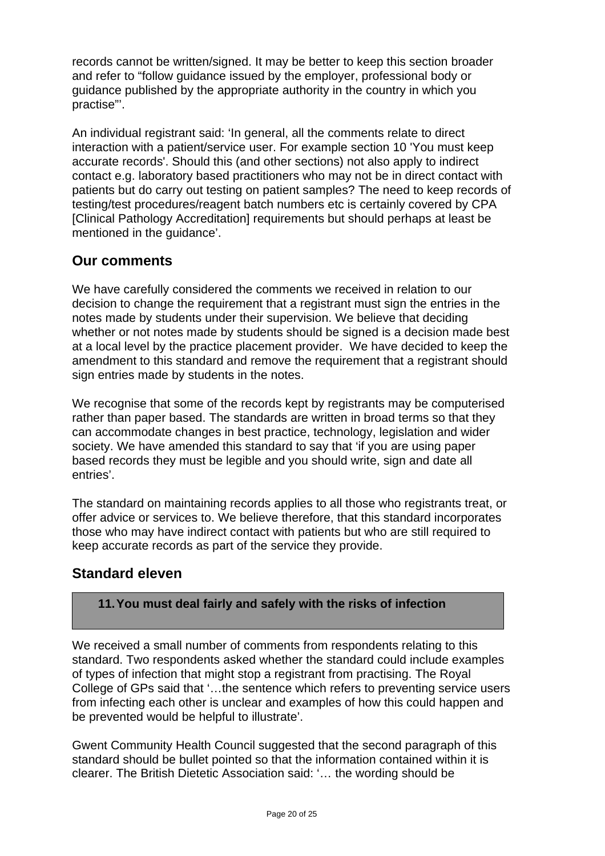records cannot be written/signed. It may be better to keep this section broader and refer to "follow guidance issued by the employer, professional body or guidance published by the appropriate authority in the country in which you practise"'.

An individual registrant said: 'In general, all the comments relate to direct interaction with a patient/service user. For example section 10 'You must keep accurate records'. Should this (and other sections) not also apply to indirect contact e.g. laboratory based practitioners who may not be in direct contact with patients but do carry out testing on patient samples? The need to keep records of testing/test procedures/reagent batch numbers etc is certainly covered by CPA [Clinical Pathology Accreditation] requirements but should perhaps at least be mentioned in the guidance'.

# **Our comments**

We have carefully considered the comments we received in relation to our decision to change the requirement that a registrant must sign the entries in the notes made by students under their supervision. We believe that deciding whether or not notes made by students should be signed is a decision made best at a local level by the practice placement provider. We have decided to keep the amendment to this standard and remove the requirement that a registrant should sign entries made by students in the notes.

We recognise that some of the records kept by registrants may be computerised rather than paper based. The standards are written in broad terms so that they can accommodate changes in best practice, technology, legislation and wider society. We have amended this standard to say that 'if you are using paper based records they must be legible and you should write, sign and date all entries'.

The standard on maintaining records applies to all those who registrants treat, or offer advice or services to. We believe therefore, that this standard incorporates those who may have indirect contact with patients but who are still required to keep accurate records as part of the service they provide.

# **Standard eleven**

## **11. You must deal fairly and safely with the risks of infection**

We received a small number of comments from respondents relating to this standard. Two respondents asked whether the standard could include examples of types of infection that might stop a registrant from practising. The Royal College of GPs said that '…the sentence which refers to preventing service users from infecting each other is unclear and examples of how this could happen and be prevented would be helpful to illustrate'.

Gwent Community Health Council suggested that the second paragraph of this standard should be bullet pointed so that the information contained within it is clearer. The British Dietetic Association said: '… the wording should be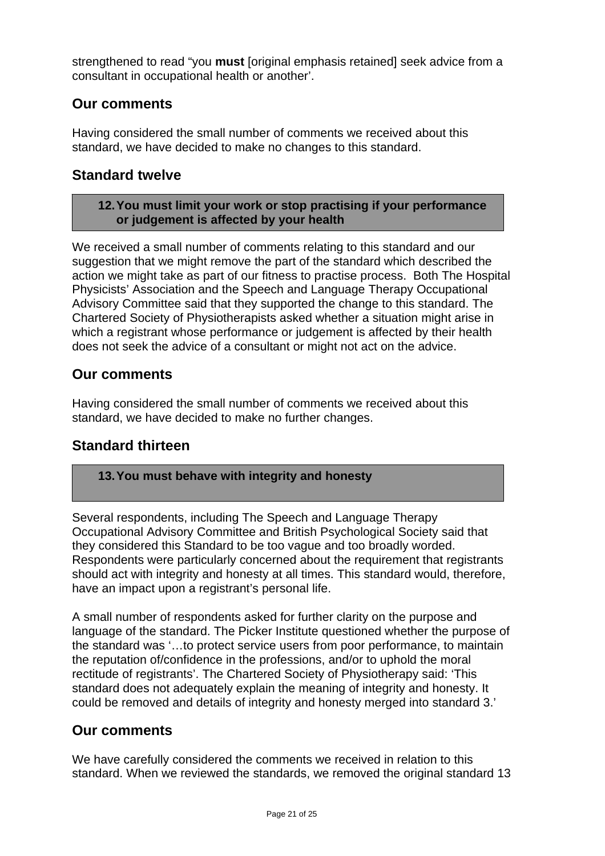strengthened to read "you **must** [original emphasis retained] seek advice from a consultant in occupational health or another'.

# **Our comments**

Having considered the small number of comments we received about this standard, we have decided to make no changes to this standard.

# **Standard twelve**

#### **12. You must limit your work or stop practising if your performance or judgement is affected by your health**

We received a small number of comments relating to this standard and our suggestion that we might remove the part of the standard which described the action we might take as part of our fitness to practise process. Both The Hospital Physicists' Association and the Speech and Language Therapy Occupational Advisory Committee said that they supported the change to this standard. The Chartered Society of Physiotherapists asked whether a situation might arise in which a registrant whose performance or judgement is affected by their health does not seek the advice of a consultant or might not act on the advice.

# **Our comments**

Having considered the small number of comments we received about this standard, we have decided to make no further changes.

# **Standard thirteen**

## **13. You must behave with integrity and honesty**

Several respondents, including The Speech and Language Therapy Occupational Advisory Committee and British Psychological Society said that they considered this Standard to be too vague and too broadly worded. Respondents were particularly concerned about the requirement that registrants should act with integrity and honesty at all times. This standard would, therefore, have an impact upon a registrant's personal life.

A small number of respondents asked for further clarity on the purpose and language of the standard. The Picker Institute questioned whether the purpose of the standard was '…to protect service users from poor performance, to maintain the reputation of/confidence in the professions, and/or to uphold the moral rectitude of registrants'. The Chartered Society of Physiotherapy said: 'This standard does not adequately explain the meaning of integrity and honesty. It could be removed and details of integrity and honesty merged into standard 3.'

# **Our comments**

We have carefully considered the comments we received in relation to this standard. When we reviewed the standards, we removed the original standard 13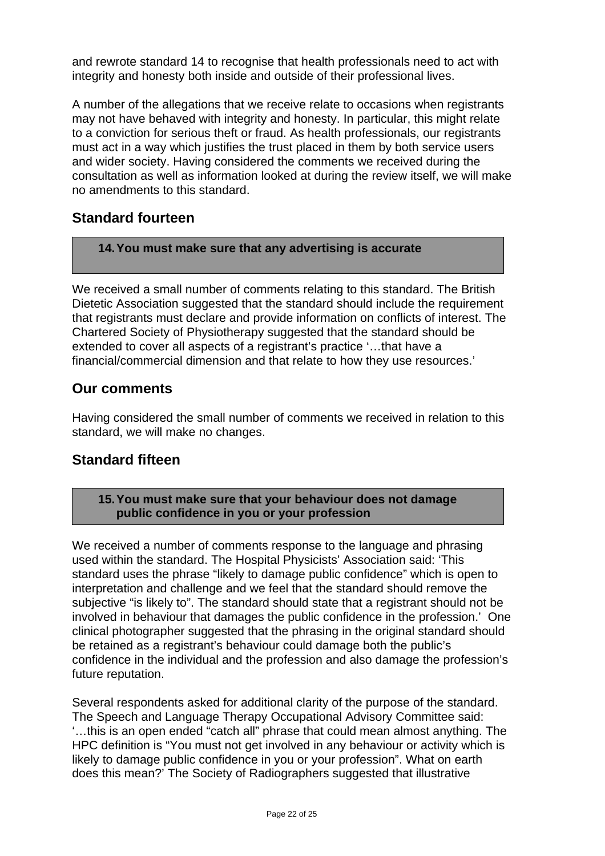and rewrote standard 14 to recognise that health professionals need to act with integrity and honesty both inside and outside of their professional lives.

A number of the allegations that we receive relate to occasions when registrants may not have behaved with integrity and honesty. In particular, this might relate to a conviction for serious theft or fraud. As health professionals, our registrants must act in a way which justifies the trust placed in them by both service users and wider society. Having considered the comments we received during the consultation as well as information looked at during the review itself, we will make no amendments to this standard.

# **Standard fourteen**

#### **14. You must make sure that any advertising is accurate**

We received a small number of comments relating to this standard. The British Dietetic Association suggested that the standard should include the requirement that registrants must declare and provide information on conflicts of interest. The Chartered Society of Physiotherapy suggested that the standard should be extended to cover all aspects of a registrant's practice '…that have a financial/commercial dimension and that relate to how they use resources.'

## **Our comments**

Having considered the small number of comments we received in relation to this standard, we will make no changes.

# **Standard fifteen**

#### **15. You must make sure that your behaviour does not damage public confidence in you or your profession**

We received a number of comments response to the language and phrasing used within the standard. The Hospital Physicists' Association said: 'This standard uses the phrase "likely to damage public confidence" which is open to interpretation and challenge and we feel that the standard should remove the subjective "is likely to". The standard should state that a registrant should not be involved in behaviour that damages the public confidence in the profession.' One clinical photographer suggested that the phrasing in the original standard should be retained as a registrant's behaviour could damage both the public's confidence in the individual and the profession and also damage the profession's future reputation.

Several respondents asked for additional clarity of the purpose of the standard. The Speech and Language Therapy Occupational Advisory Committee said: '…this is an open ended "catch all" phrase that could mean almost anything. The HPC definition is "You must not get involved in any behaviour or activity which is likely to damage public confidence in you or your profession". What on earth does this mean?' The Society of Radiographers suggested that illustrative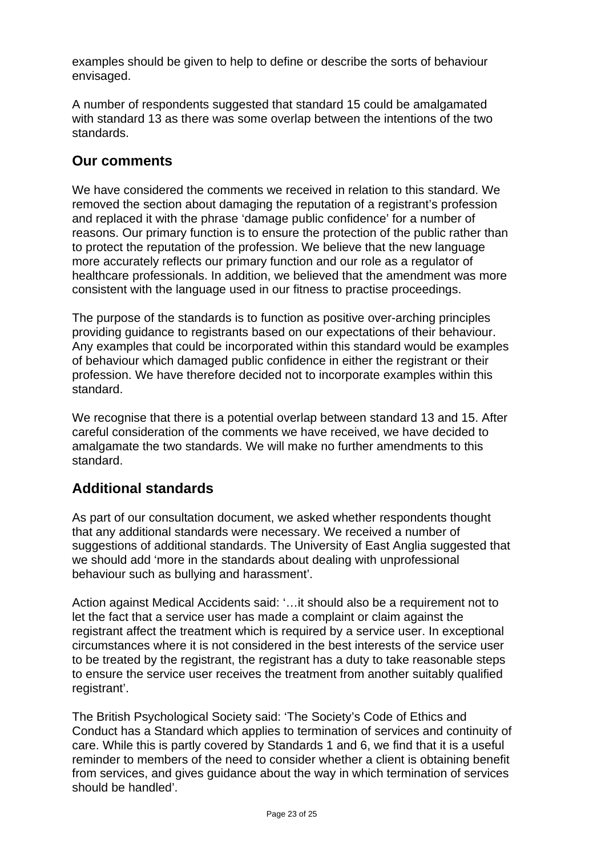examples should be given to help to define or describe the sorts of behaviour envisaged.

A number of respondents suggested that standard 15 could be amalgamated with standard 13 as there was some overlap between the intentions of the two standards.

## **Our comments**

We have considered the comments we received in relation to this standard. We removed the section about damaging the reputation of a registrant's profession and replaced it with the phrase 'damage public confidence' for a number of reasons. Our primary function is to ensure the protection of the public rather than to protect the reputation of the profession. We believe that the new language more accurately reflects our primary function and our role as a regulator of healthcare professionals. In addition, we believed that the amendment was more consistent with the language used in our fitness to practise proceedings.

The purpose of the standards is to function as positive over-arching principles providing guidance to registrants based on our expectations of their behaviour. Any examples that could be incorporated within this standard would be examples of behaviour which damaged public confidence in either the registrant or their profession. We have therefore decided not to incorporate examples within this standard.

We recognise that there is a potential overlap between standard 13 and 15. After careful consideration of the comments we have received, we have decided to amalgamate the two standards. We will make no further amendments to this standard.

# **Additional standards**

As part of our consultation document, we asked whether respondents thought that any additional standards were necessary. We received a number of suggestions of additional standards. The University of East Anglia suggested that we should add 'more in the standards about dealing with unprofessional behaviour such as bullying and harassment'.

Action against Medical Accidents said: '…it should also be a requirement not to let the fact that a service user has made a complaint or claim against the registrant affect the treatment which is required by a service user. In exceptional circumstances where it is not considered in the best interests of the service user to be treated by the registrant, the registrant has a duty to take reasonable steps to ensure the service user receives the treatment from another suitably qualified registrant'.

The British Psychological Society said: 'The Society's Code of Ethics and Conduct has a Standard which applies to termination of services and continuity of care. While this is partly covered by Standards 1 and 6, we find that it is a useful reminder to members of the need to consider whether a client is obtaining benefit from services, and gives guidance about the way in which termination of services should be handled'.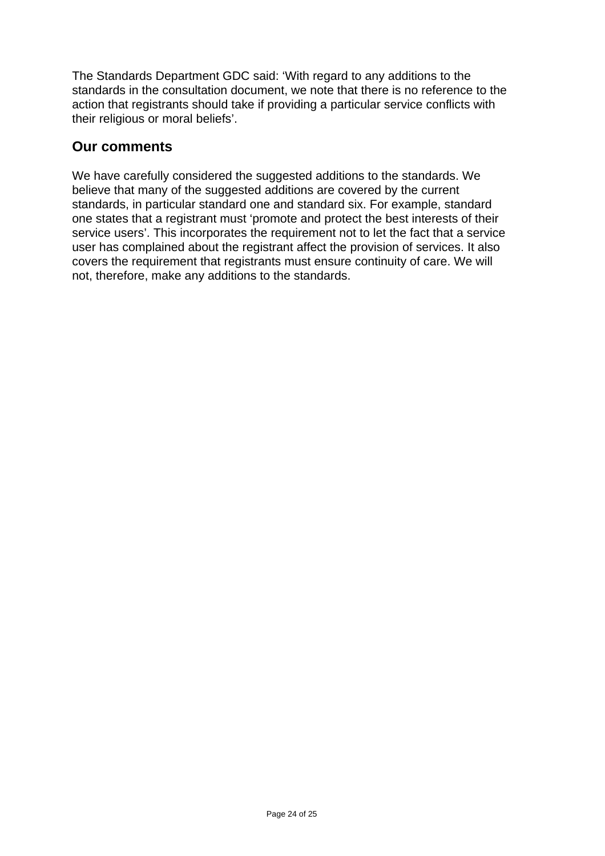The Standards Department GDC said: 'With regard to any additions to the standards in the consultation document, we note that there is no reference to the action that registrants should take if providing a particular service conflicts with their religious or moral beliefs'.

## **Our comments**

We have carefully considered the suggested additions to the standards. We believe that many of the suggested additions are covered by the current standards, in particular standard one and standard six. For example, standard one states that a registrant must 'promote and protect the best interests of their service users'. This incorporates the requirement not to let the fact that a service user has complained about the registrant affect the provision of services. It also covers the requirement that registrants must ensure continuity of care. We will not, therefore, make any additions to the standards.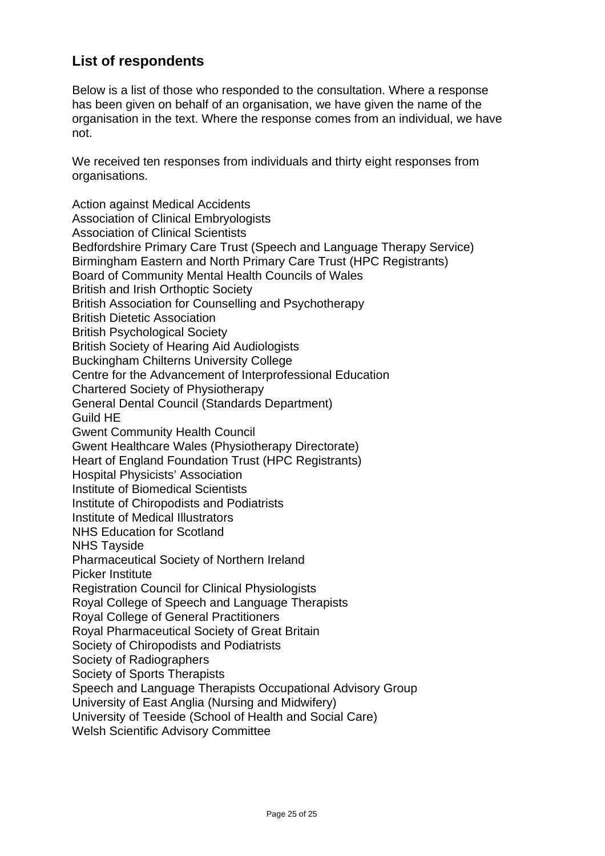# **List of respondents**

Below is a list of those who responded to the consultation. Where a response has been given on behalf of an organisation, we have given the name of the organisation in the text. Where the response comes from an individual, we have not.

We received ten responses from individuals and thirty eight responses from organisations.

Action against Medical Accidents Association of Clinical Embryologists Association of Clinical Scientists Bedfordshire Primary Care Trust (Speech and Language Therapy Service) Birmingham Eastern and North Primary Care Trust (HPC Registrants) Board of Community Mental Health Councils of Wales British and Irish Orthoptic Society British Association for Counselling and Psychotherapy British Dietetic Association British Psychological Society British Society of Hearing Aid Audiologists Buckingham Chilterns University College Centre for the Advancement of Interprofessional Education Chartered Society of Physiotherapy General Dental Council (Standards Department) Guild HE Gwent Community Health Council Gwent Healthcare Wales (Physiotherapy Directorate) Heart of England Foundation Trust (HPC Registrants) Hospital Physicists' Association Institute of Biomedical Scientists Institute of Chiropodists and Podiatrists Institute of Medical Illustrators NHS Education for Scotland NHS Tayside Pharmaceutical Society of Northern Ireland Picker Institute Registration Council for Clinical Physiologists Royal College of Speech and Language Therapists Royal College of General Practitioners Royal Pharmaceutical Society of Great Britain Society of Chiropodists and Podiatrists Society of Radiographers Society of Sports Therapists Speech and Language Therapists Occupational Advisory Group University of East Anglia (Nursing and Midwifery) University of Teeside (School of Health and Social Care)

Welsh Scientific Advisory Committee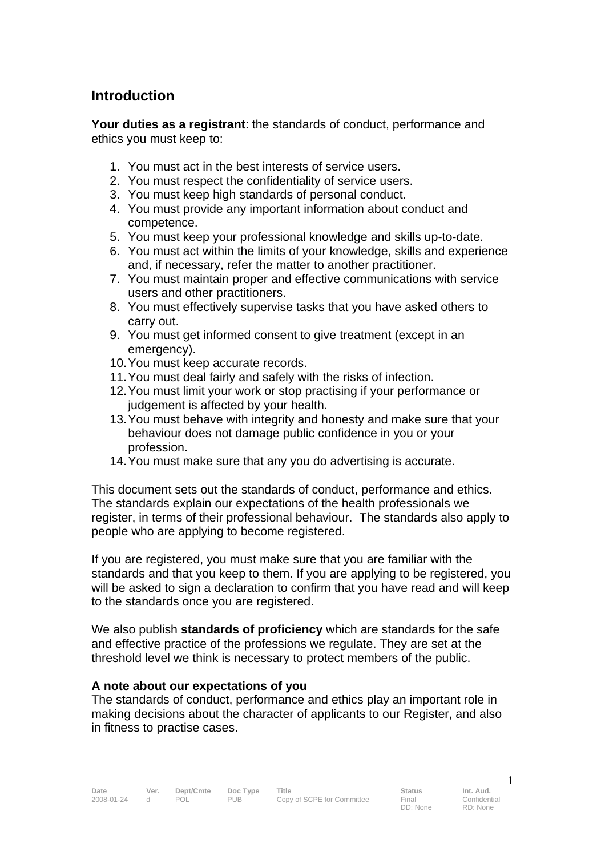# **Introduction**

**Your duties as a registrant**: the standards of conduct, performance and ethics you must keep to:

- 1. You must act in the best interests of service users.
- 2. You must respect the confidentiality of service users.
- 3. You must keep high standards of personal conduct.
- 4. You must provide any important information about conduct and competence.
- 5. You must keep your professional knowledge and skills up-to-date.
- 6. You must act within the limits of your knowledge, skills and experience and, if necessary, refer the matter to another practitioner.
- 7. You must maintain proper and effective communications with service users and other practitioners.
- 8. You must effectively supervise tasks that you have asked others to carry out.
- 9. You must get informed consent to give treatment (except in an emergency).
- 10. You must keep accurate records.
- 11. You must deal fairly and safely with the risks of infection.
- 12. You must limit your work or stop practising if your performance or judgement is affected by your health.
- 13. You must behave with integrity and honesty and make sure that your behaviour does not damage public confidence in you or your profession.
- 14. You must make sure that any you do advertising is accurate.

This document sets out the standards of conduct, performance and ethics. The standards explain our expectations of the health professionals we register, in terms of their professional behaviour. The standards also apply to people who are applying to become registered.

If you are registered, you must make sure that you are familiar with the standards and that you keep to them. If you are applying to be registered, you will be asked to sign a declaration to confirm that you have read and will keep to the standards once you are registered.

We also publish **standards of proficiency** which are standards for the safe and effective practice of the professions we regulate. They are set at the threshold level we think is necessary to protect members of the public.

#### **A note about our expectations of you**

The standards of conduct, performance and ethics play an important role in making decisions about the character of applicants to our Register, and also in fitness to practise cases.

1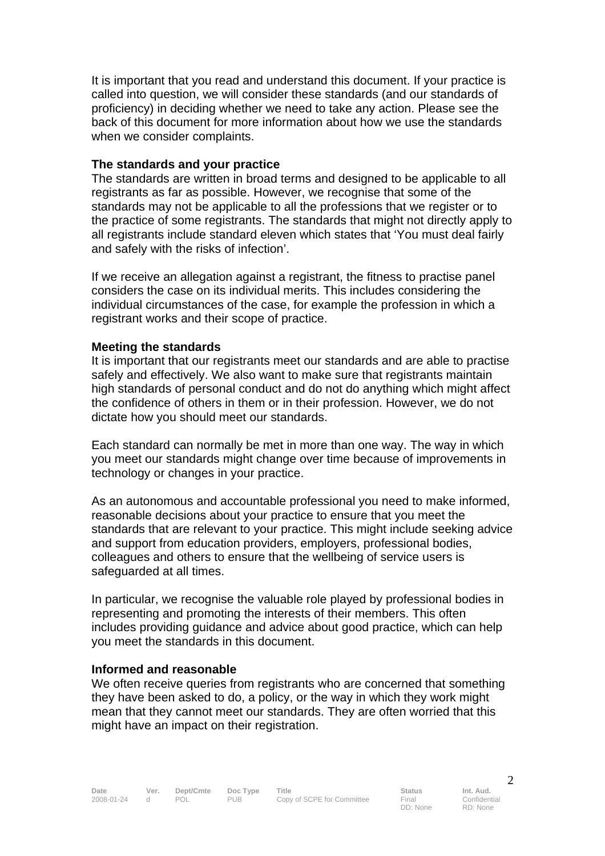It is important that you read and understand this document. If your practice is called into question, we will consider these standards (and our standards of proficiency) in deciding whether we need to take any action. Please see the back of this document for more information about how we use the standards when we consider complaints.

#### **The standards and your practice**

The standards are written in broad terms and designed to be applicable to all registrants as far as possible. However, we recognise that some of the standards may not be applicable to all the professions that we register or to the practice of some registrants. The standards that might not directly apply to all registrants include standard eleven which states that 'You must deal fairly and safely with the risks of infection'.

If we receive an allegation against a registrant, the fitness to practise panel considers the case on its individual merits. This includes considering the individual circumstances of the case, for example the profession in which a registrant works and their scope of practice.

#### **Meeting the standards**

It is important that our registrants meet our standards and are able to practise safely and effectively. We also want to make sure that registrants maintain high standards of personal conduct and do not do anything which might affect the confidence of others in them or in their profession. However, we do not dictate how you should meet our standards.

Each standard can normally be met in more than one way. The way in which you meet our standards might change over time because of improvements in technology or changes in your practice.

As an autonomous and accountable professional you need to make informed, reasonable decisions about your practice to ensure that you meet the standards that are relevant to your practice. This might include seeking advice and support from education providers, employers, professional bodies, colleagues and others to ensure that the wellbeing of service users is safeguarded at all times.

In particular, we recognise the valuable role played by professional bodies in representing and promoting the interests of their members. This often includes providing guidance and advice about good practice, which can help you meet the standards in this document.

#### **Informed and reasonable**

We often receive queries from registrants who are concerned that something they have been asked to do, a policy, or the way in which they work might mean that they cannot meet our standards. They are often worried that this might have an impact on their registration.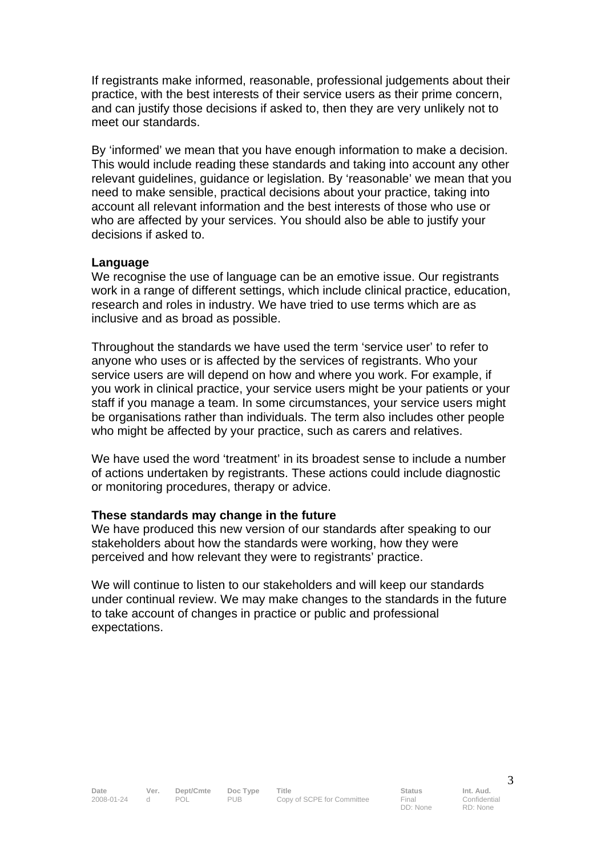If registrants make informed, reasonable, professional judgements about their practice, with the best interests of their service users as their prime concern, and can justify those decisions if asked to, then they are very unlikely not to meet our standards.

By 'informed' we mean that you have enough information to make a decision. This would include reading these standards and taking into account any other relevant guidelines, guidance or legislation. By 'reasonable' we mean that you need to make sensible, practical decisions about your practice, taking into account all relevant information and the best interests of those who use or who are affected by your services. You should also be able to justify your decisions if asked to.

#### **Language**

We recognise the use of language can be an emotive issue. Our registrants work in a range of different settings, which include clinical practice, education, research and roles in industry. We have tried to use terms which are as inclusive and as broad as possible.

Throughout the standards we have used the term 'service user' to refer to anyone who uses or is affected by the services of registrants. Who your service users are will depend on how and where you work. For example, if you work in clinical practice, your service users might be your patients or your staff if you manage a team. In some circumstances, your service users might be organisations rather than individuals. The term also includes other people who might be affected by your practice, such as carers and relatives.

We have used the word 'treatment' in its broadest sense to include a number of actions undertaken by registrants. These actions could include diagnostic or monitoring procedures, therapy or advice.

#### **These standards may change in the future**

We have produced this new version of our standards after speaking to our stakeholders about how the standards were working, how they were perceived and how relevant they were to registrants' practice.

We will continue to listen to our stakeholders and will keep our standards under continual review. We may make changes to the standards in the future to take account of changes in practice or public and professional expectations.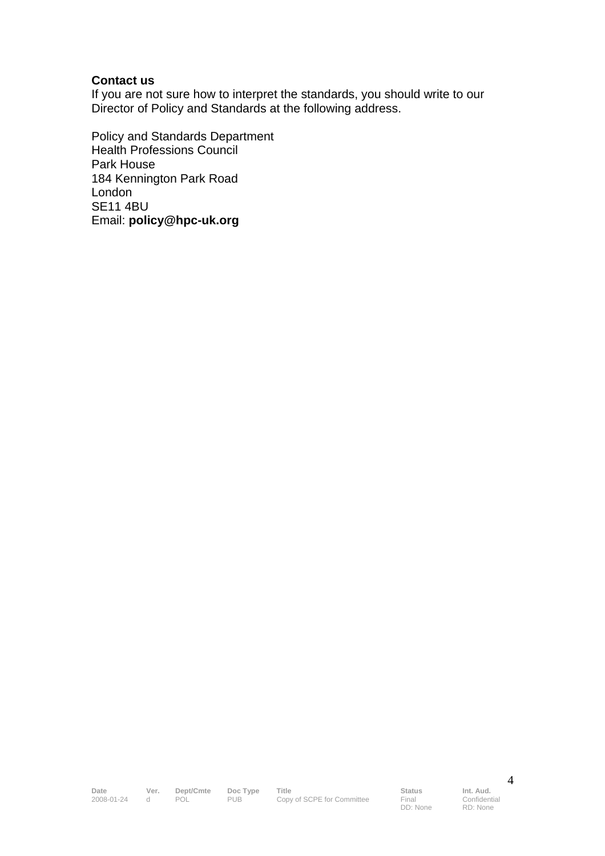#### **Contact us**

If you are not sure how to interpret the standards, you should write to our Director of Policy and Standards at the following address.

Policy and Standards Department Health Professions Council Park House 184 Kennington Park Road London SE11 4BU Email: **policy@hpc-uk.org**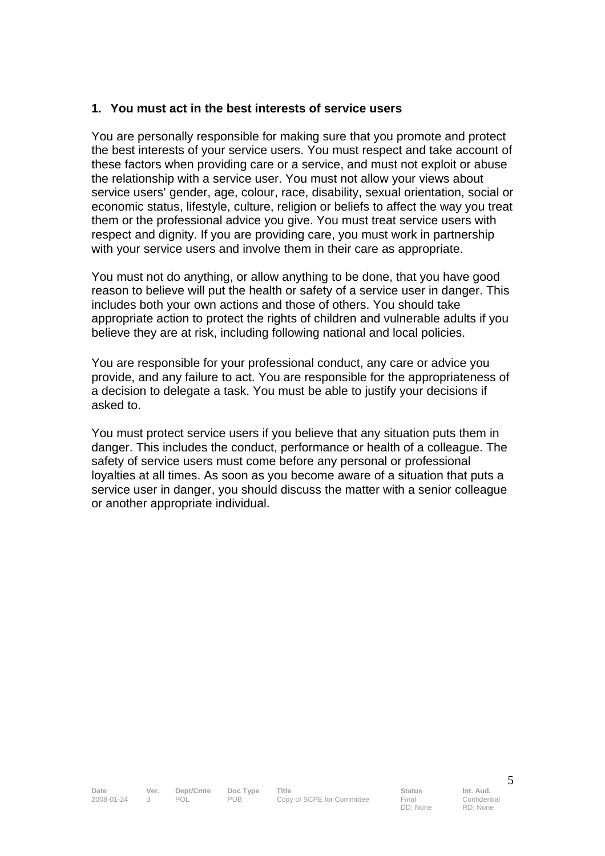#### **1. You must act in the best interests of service users**

You are personally responsible for making sure that you promote and protect the best interests of your service users. You must respect and take account of these factors when providing care or a service, and must not exploit or abuse the relationship with a service user. You must not allow your views about service users' gender, age, colour, race, disability, sexual orientation, social or economic status, lifestyle, culture, religion or beliefs to affect the way you treat them or the professional advice you give. You must treat service users with respect and dignity. If you are providing care, you must work in partnership with your service users and involve them in their care as appropriate.

You must not do anything, or allow anything to be done, that you have good reason to believe will put the health or safety of a service user in danger. This includes both your own actions and those of others. You should take appropriate action to protect the rights of children and vulnerable adults if you believe they are at risk, including following national and local policies.

You are responsible for your professional conduct, any care or advice you provide, and any failure to act. You are responsible for the appropriateness of a decision to delegate a task. You must be able to justify your decisions if asked to.

You must protect service users if you believe that any situation puts them in danger. This includes the conduct, performance or health of a colleague. The safety of service users must come before any personal or professional loyalties at all times. As soon as you become aware of a situation that puts a service user in danger, you should discuss the matter with a senior colleague or another appropriate individual.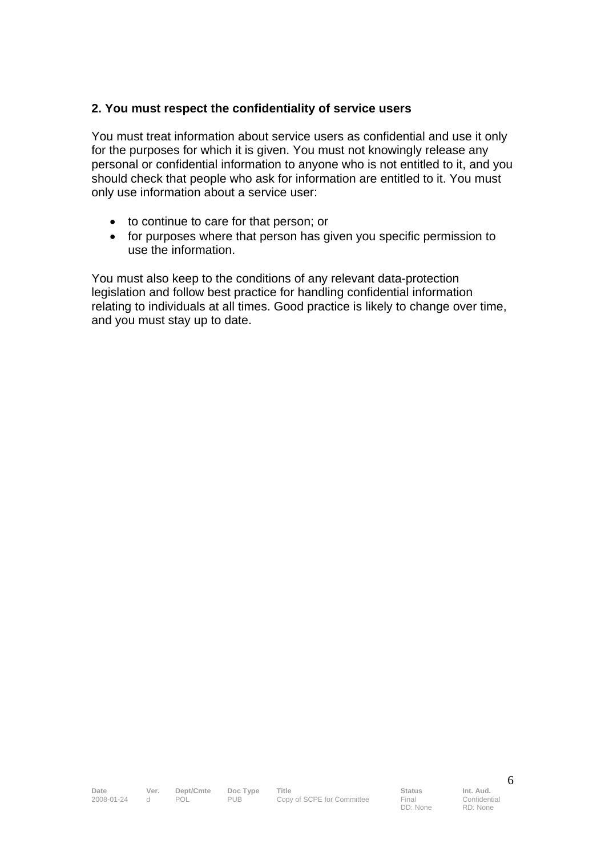#### **2. You must respect the confidentiality of service users**

You must treat information about service users as confidential and use it only for the purposes for which it is given. You must not knowingly release any personal or confidential information to anyone who is not entitled to it, and you should check that people who ask for information are entitled to it. You must only use information about a service user:

- to continue to care for that person; or
- for purposes where that person has given you specific permission to use the information.

You must also keep to the conditions of any relevant data-protection legislation and follow best practice for handling confidential information relating to individuals at all times. Good practice is likely to change over time, and you must stay up to date.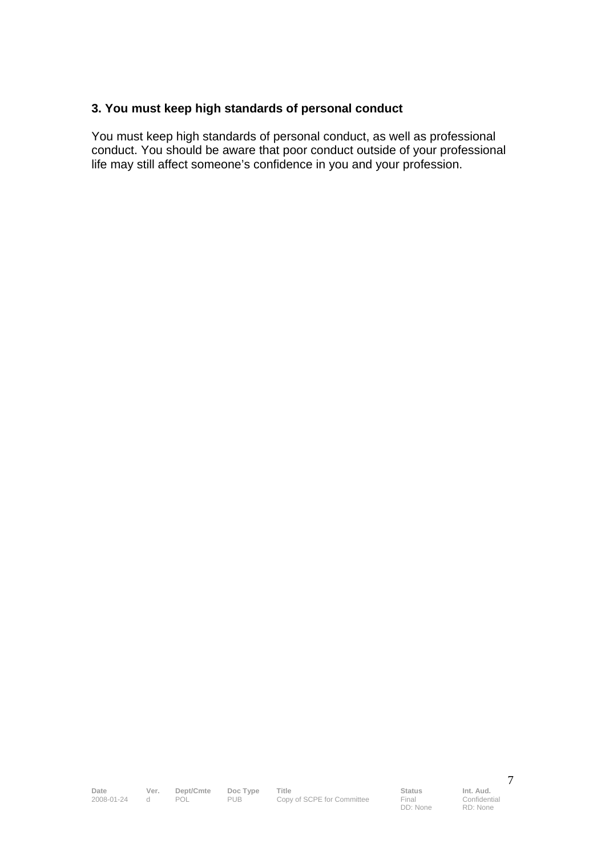## **3. You must keep high standards of personal conduct**

You must keep high standards of personal conduct, as well as professional conduct. You should be aware that poor conduct outside of your professional life may still affect someone's confidence in you and your profession.

**Date Ver. Dept/Cmte Doc Type Title Status Status Int. Aud.**<br>2008-01-24 d POL PUB Copy of SCPE for Committee Final Confident 2008-01-24 copy of SCPE for Committee

DD: None

Confidential RD: None

7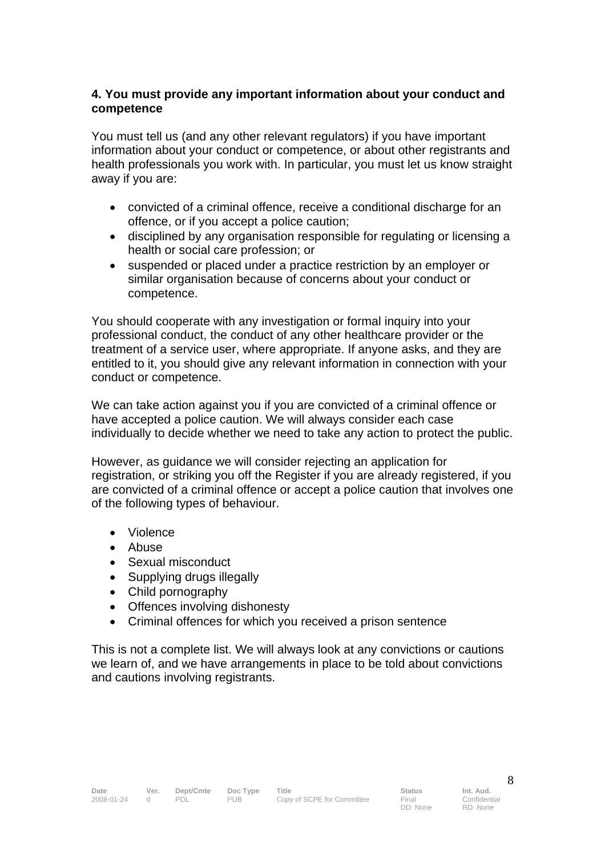#### **4. You must provide any important information about your conduct and competence**

You must tell us (and any other relevant regulators) if you have important information about your conduct or competence, or about other registrants and health professionals you work with. In particular, you must let us know straight away if you are:

- convicted of a criminal offence, receive a conditional discharge for an offence, or if you accept a police caution;
- disciplined by any organisation responsible for regulating or licensing a health or social care profession; or
- suspended or placed under a practice restriction by an employer or similar organisation because of concerns about your conduct or competence.

You should cooperate with any investigation or formal inquiry into your professional conduct, the conduct of any other healthcare provider or the treatment of a service user, where appropriate. If anyone asks, and they are entitled to it, you should give any relevant information in connection with your conduct or competence.

We can take action against you if you are convicted of a criminal offence or have accepted a police caution. We will always consider each case individually to decide whether we need to take any action to protect the public.

However, as guidance we will consider rejecting an application for registration, or striking you off the Register if you are already registered, if you are convicted of a criminal offence or accept a police caution that involves one of the following types of behaviour.

- Violence
- Abuse
- Sexual misconduct
- Supplying drugs illegally
- Child pornography
- Offences involving dishonesty
- Criminal offences for which you received a prison sentence

This is not a complete list. We will always look at any convictions or cautions we learn of, and we have arrangements in place to be told about convictions and cautions involving registrants.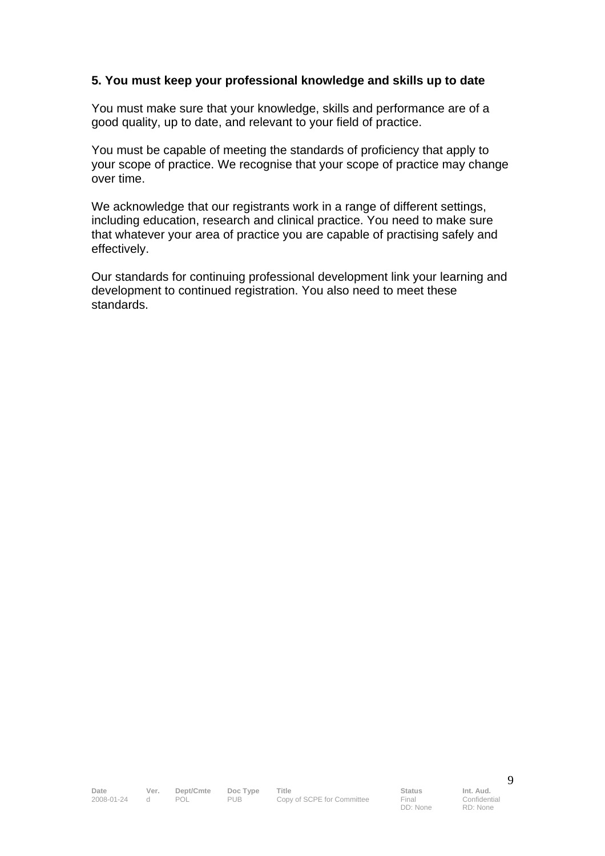#### **5. You must keep your professional knowledge and skills up to date**

You must make sure that your knowledge, skills and performance are of a good quality, up to date, and relevant to your field of practice.

You must be capable of meeting the standards of proficiency that apply to your scope of practice. We recognise that your scope of practice may change over time.

We acknowledge that our registrants work in a range of different settings, including education, research and clinical practice. You need to make sure that whatever your area of practice you are capable of practising safely and effectively.

Our standards for continuing professional development link your learning and development to continued registration. You also need to meet these standards.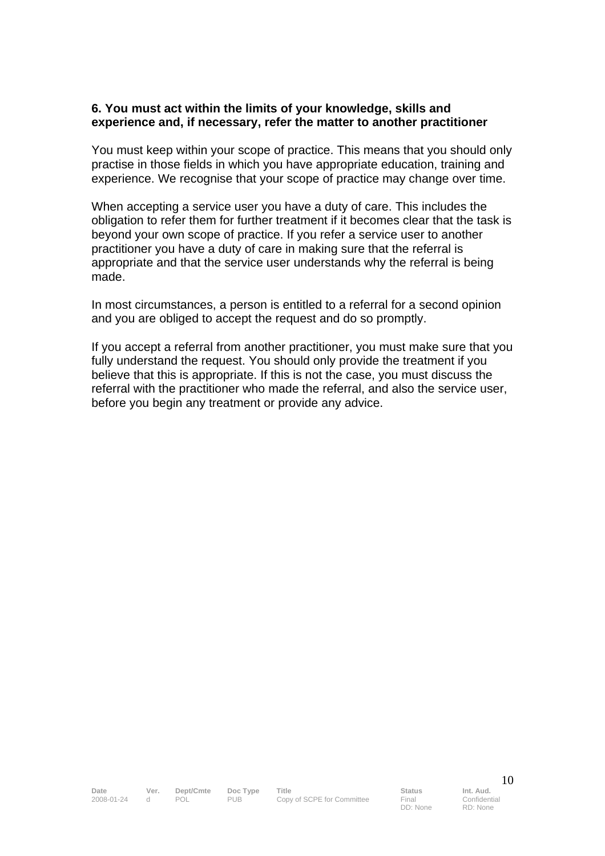#### **6. You must act within the limits of your knowledge, skills and experience and, if necessary, refer the matter to another practitioner**

You must keep within your scope of practice. This means that you should only practise in those fields in which you have appropriate education, training and experience. We recognise that your scope of practice may change over time.

When accepting a service user you have a duty of care. This includes the obligation to refer them for further treatment if it becomes clear that the task is beyond your own scope of practice. If you refer a service user to another practitioner you have a duty of care in making sure that the referral is appropriate and that the service user understands why the referral is being made.

In most circumstances, a person is entitled to a referral for a second opinion and you are obliged to accept the request and do so promptly.

If you accept a referral from another practitioner, you must make sure that you fully understand the request. You should only provide the treatment if you believe that this is appropriate. If this is not the case, you must discuss the referral with the practitioner who made the referral, and also the service user, before you begin any treatment or provide any advice.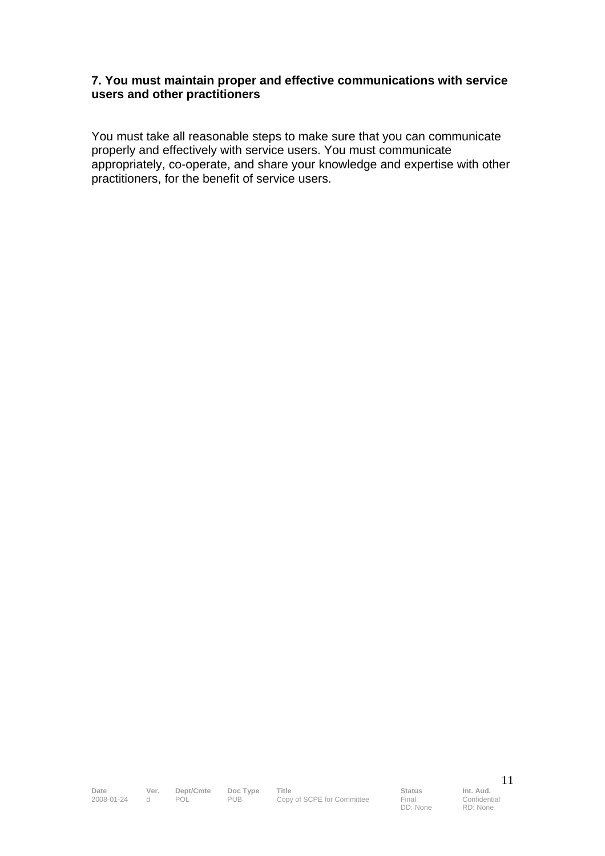#### **7. You must maintain proper and effective communications with service users and other practitioners**

You must take all reasonable steps to make sure that you can communicate properly and effectively with service users. You must communicate appropriately, co-operate, and share your knowledge and expertise with other practitioners, for the benefit of service users.

**Date Ver. Dept/Cmte Doc Type Title Status Status Int. Aud.**<br>2008-01-24 d POL PUB Copy of SCPE for Committee Final Confident 2008-01-24 Copy of SCPE for Committee

DD: None

Confidential RD: None

11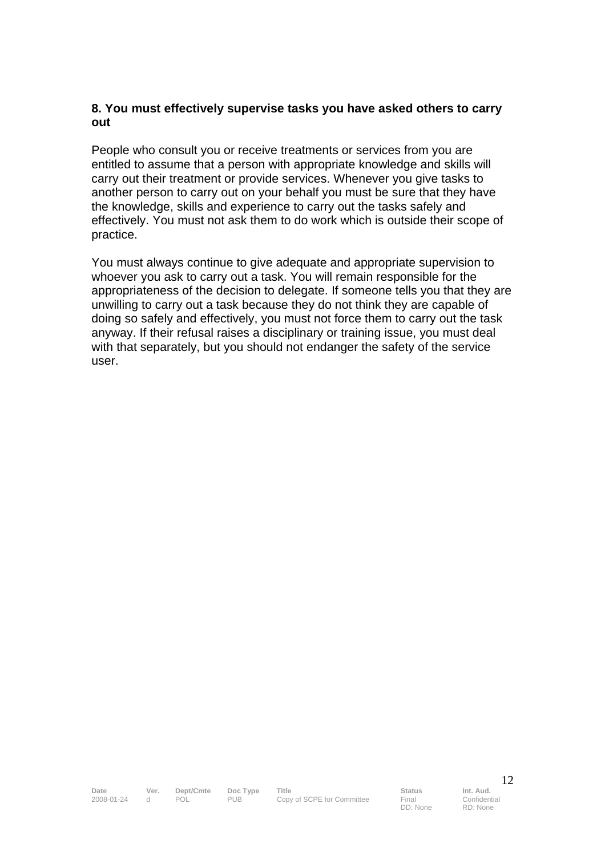#### **8. You must effectively supervise tasks you have asked others to carry out**

People who consult you or receive treatments or services from you are entitled to assume that a person with appropriate knowledge and skills will carry out their treatment or provide services. Whenever you give tasks to another person to carry out on your behalf you must be sure that they have the knowledge, skills and experience to carry out the tasks safely and effectively. You must not ask them to do work which is outside their scope of practice.

You must always continue to give adequate and appropriate supervision to whoever you ask to carry out a task. You will remain responsible for the appropriateness of the decision to delegate. If someone tells you that they are unwilling to carry out a task because they do not think they are capable of doing so safely and effectively, you must not force them to carry out the task anyway. If their refusal raises a disciplinary or training issue, you must deal with that separately, but you should not endanger the safety of the service user.

DD: None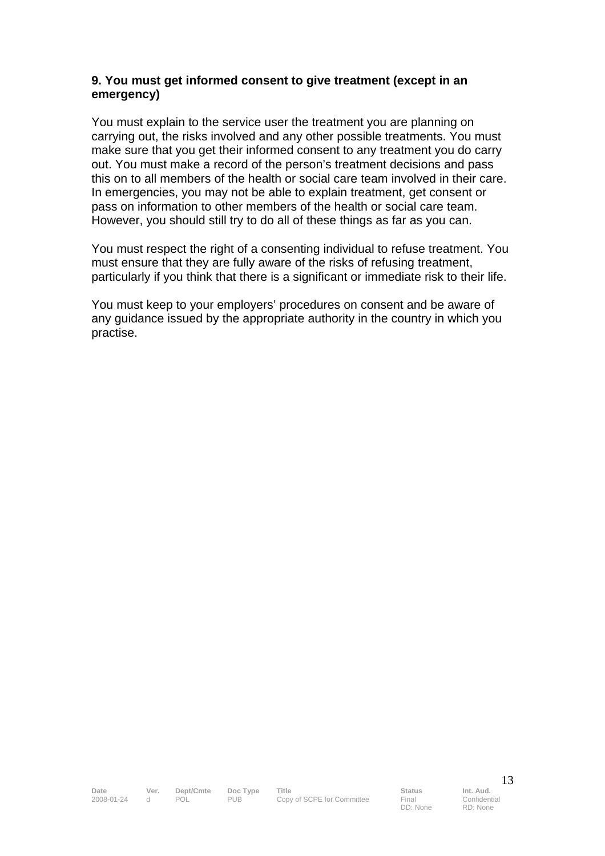#### **9. You must get informed consent to give treatment (except in an emergency)**

You must explain to the service user the treatment you are planning on carrying out, the risks involved and any other possible treatments. You must make sure that you get their informed consent to any treatment you do carry out. You must make a record of the person's treatment decisions and pass this on to all members of the health or social care team involved in their care. In emergencies, you may not be able to explain treatment, get consent or pass on information to other members of the health or social care team. However, you should still try to do all of these things as far as you can.

You must respect the right of a consenting individual to refuse treatment. You must ensure that they are fully aware of the risks of refusing treatment, particularly if you think that there is a significant or immediate risk to their life.

You must keep to your employers' procedures on consent and be aware of any guidance issued by the appropriate authority in the country in which you practise.

DD: None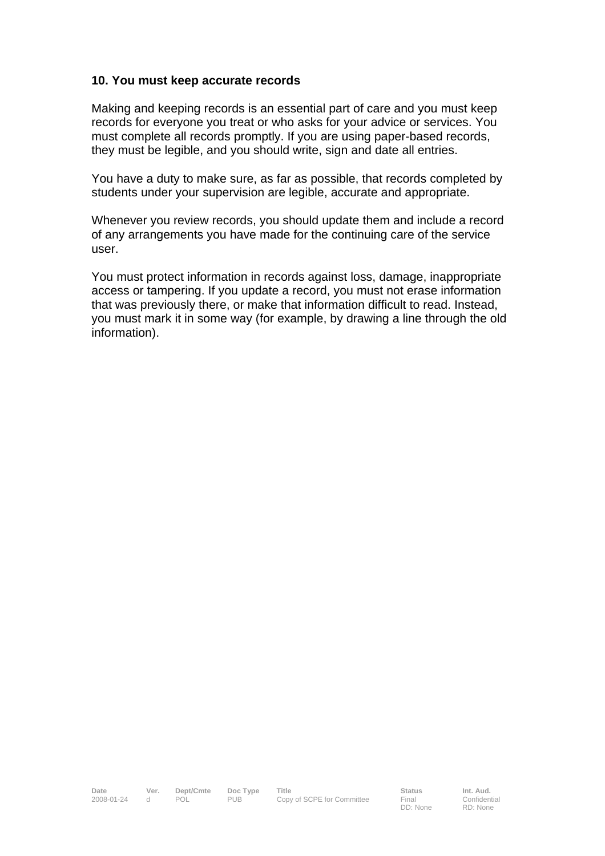#### **10. You must keep accurate records**

Making and keeping records is an essential part of care and you must keep records for everyone you treat or who asks for your advice or services. You must complete all records promptly. If you are using paper-based records, they must be legible, and you should write, sign and date all entries.

You have a duty to make sure, as far as possible, that records completed by students under your supervision are legible, accurate and appropriate.

Whenever you review records, you should update them and include a record of any arrangements you have made for the continuing care of the service user.

You must protect information in records against loss, damage, inappropriate access or tampering. If you update a record, you must not erase information that was previously there, or make that information difficult to read. Instead, you must mark it in some way (for example, by drawing a line through the old information).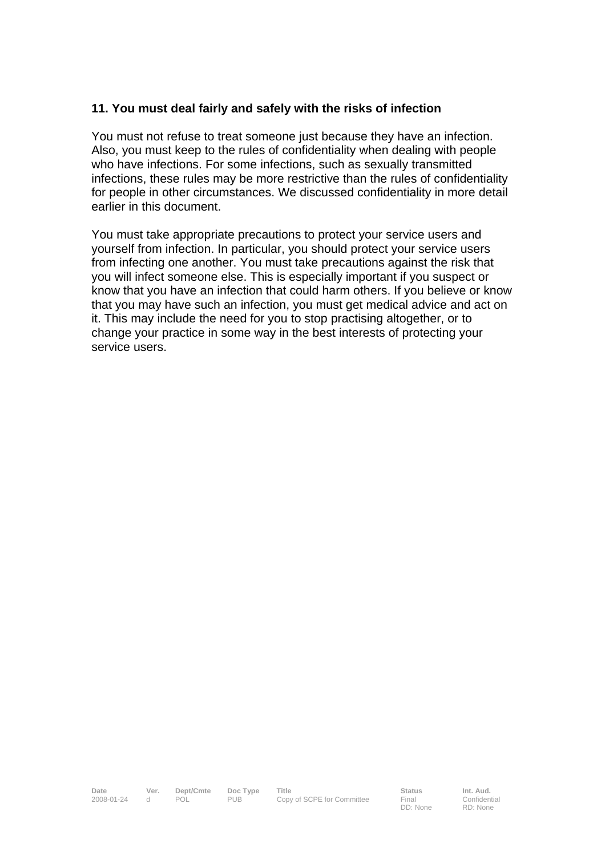#### **11. You must deal fairly and safely with the risks of infection**

You must not refuse to treat someone just because they have an infection. Also, you must keep to the rules of confidentiality when dealing with people who have infections. For some infections, such as sexually transmitted infections, these rules may be more restrictive than the rules of confidentiality for people in other circumstances. We discussed confidentiality in more detail earlier in this document.

You must take appropriate precautions to protect your service users and yourself from infection. In particular, you should protect your service users from infecting one another. You must take precautions against the risk that you will infect someone else. This is especially important if you suspect or know that you have an infection that could harm others. If you believe or know that you may have such an infection, you must get medical advice and act on it. This may include the need for you to stop practising altogether, or to change your practice in some way in the best interests of protecting your service users.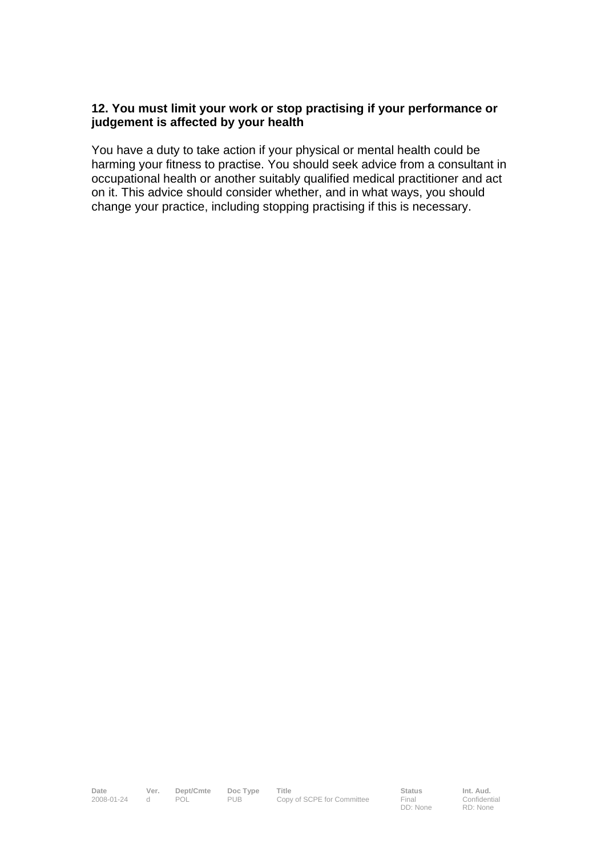#### **12. You must limit your work or stop practising if your performance or judgement is affected by your health**

You have a duty to take action if your physical or mental health could be harming your fitness to practise. You should seek advice from a consultant in occupational health or another suitably qualified medical practitioner and act on it. This advice should consider whether, and in what ways, you should change your practice, including stopping practising if this is necessary.

**Date Ver. Dept/Cmte Doc Type Title Status Status Int. Aud.**<br>2008-01-24 d POL PUB Copy of SCPE for Committee Final Confident 2008-01-2008<br>Copy of SCPE for Committee

DD: None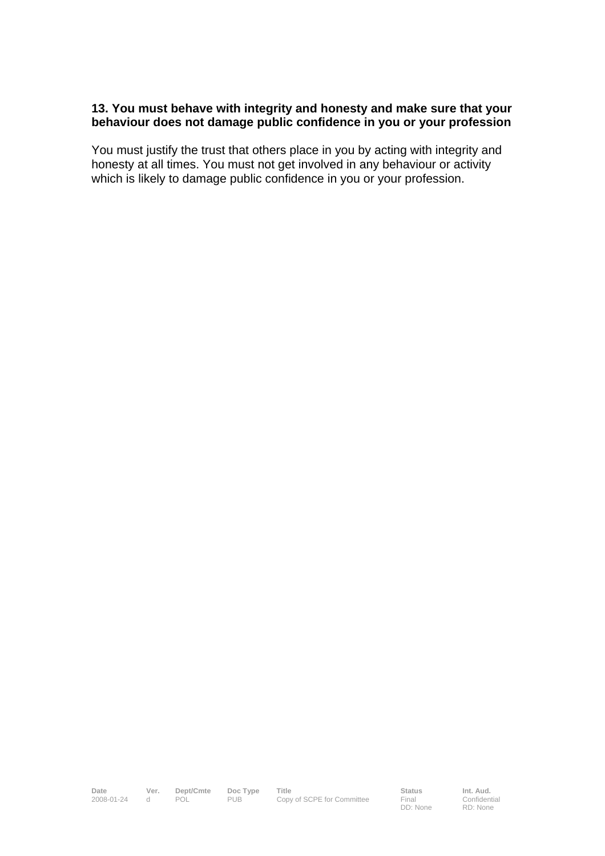#### **13. You must behave with integrity and honesty and make sure that your behaviour does not damage public confidence in you or your profession**

You must justify the trust that others place in you by acting with integrity and honesty at all times. You must not get involved in any behaviour or activity which is likely to damage public confidence in you or your profession.

**Date Ver. Dept/Cmte Doc Type Title Status Status Int. Aud.**<br>2008-01-24 d POL PUB Copy of SCPE for Committee Final Confident 2008-01-24 Copy of SCPE for Committee

DD: None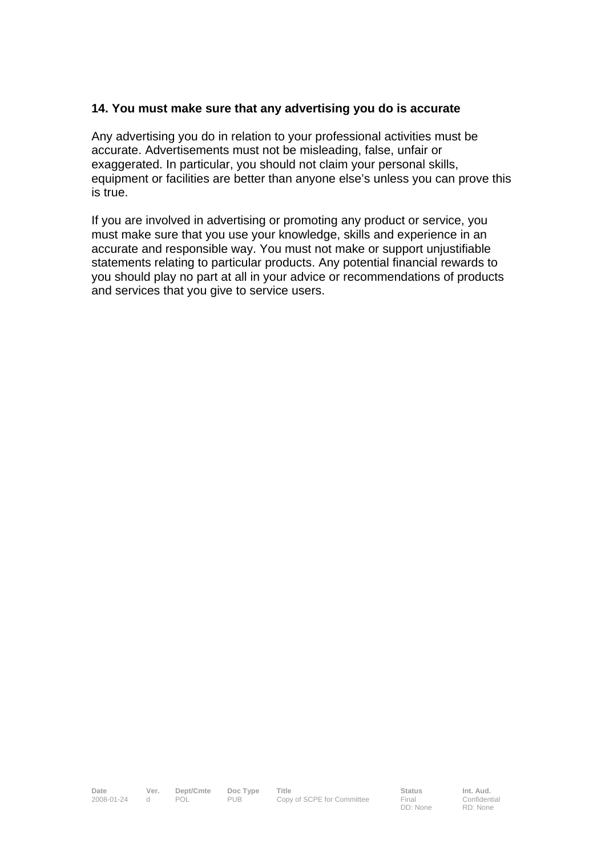#### **14. You must make sure that any advertising you do is accurate**

Any advertising you do in relation to your professional activities must be accurate. Advertisements must not be misleading, false, unfair or exaggerated. In particular, you should not claim your personal skills, equipment or facilities are better than anyone else's unless you can prove this is true.

If you are involved in advertising or promoting any product or service, you must make sure that you use your knowledge, skills and experience in an accurate and responsible way. You must not make or support unjustifiable statements relating to particular products. Any potential financial rewards to you should play no part at all in your advice or recommendations of products and services that you give to service users.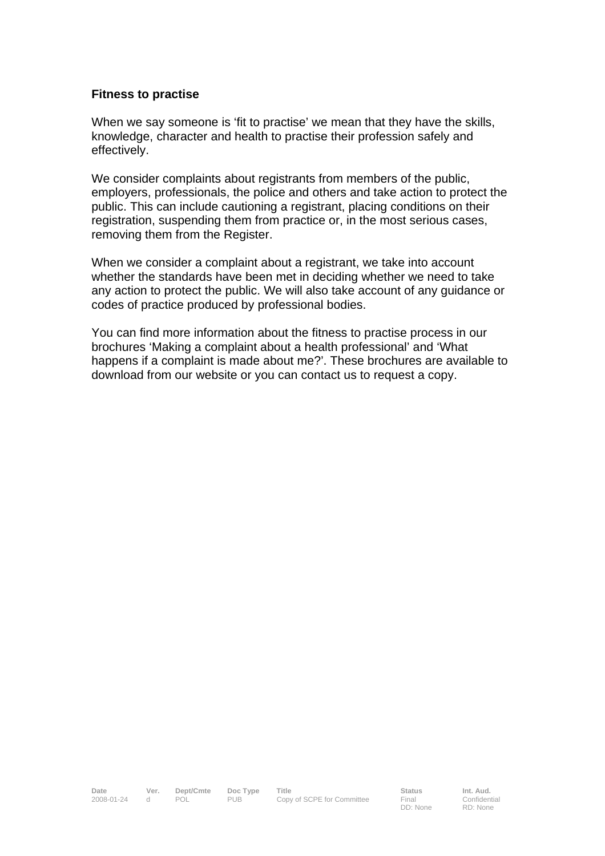#### **Fitness to practise**

When we say someone is 'fit to practise' we mean that they have the skills, knowledge, character and health to practise their profession safely and effectively.

We consider complaints about registrants from members of the public, employers, professionals, the police and others and take action to protect the public. This can include cautioning a registrant, placing conditions on their registration, suspending them from practice or, in the most serious cases, removing them from the Register.

When we consider a complaint about a registrant, we take into account whether the standards have been met in deciding whether we need to take any action to protect the public. We will also take account of any guidance or codes of practice produced by professional bodies.

You can find more information about the fitness to practise process in our brochures 'Making a complaint about a health professional' and 'What happens if a complaint is made about me?'. These brochures are available to download from our website or you can contact us to request a copy.